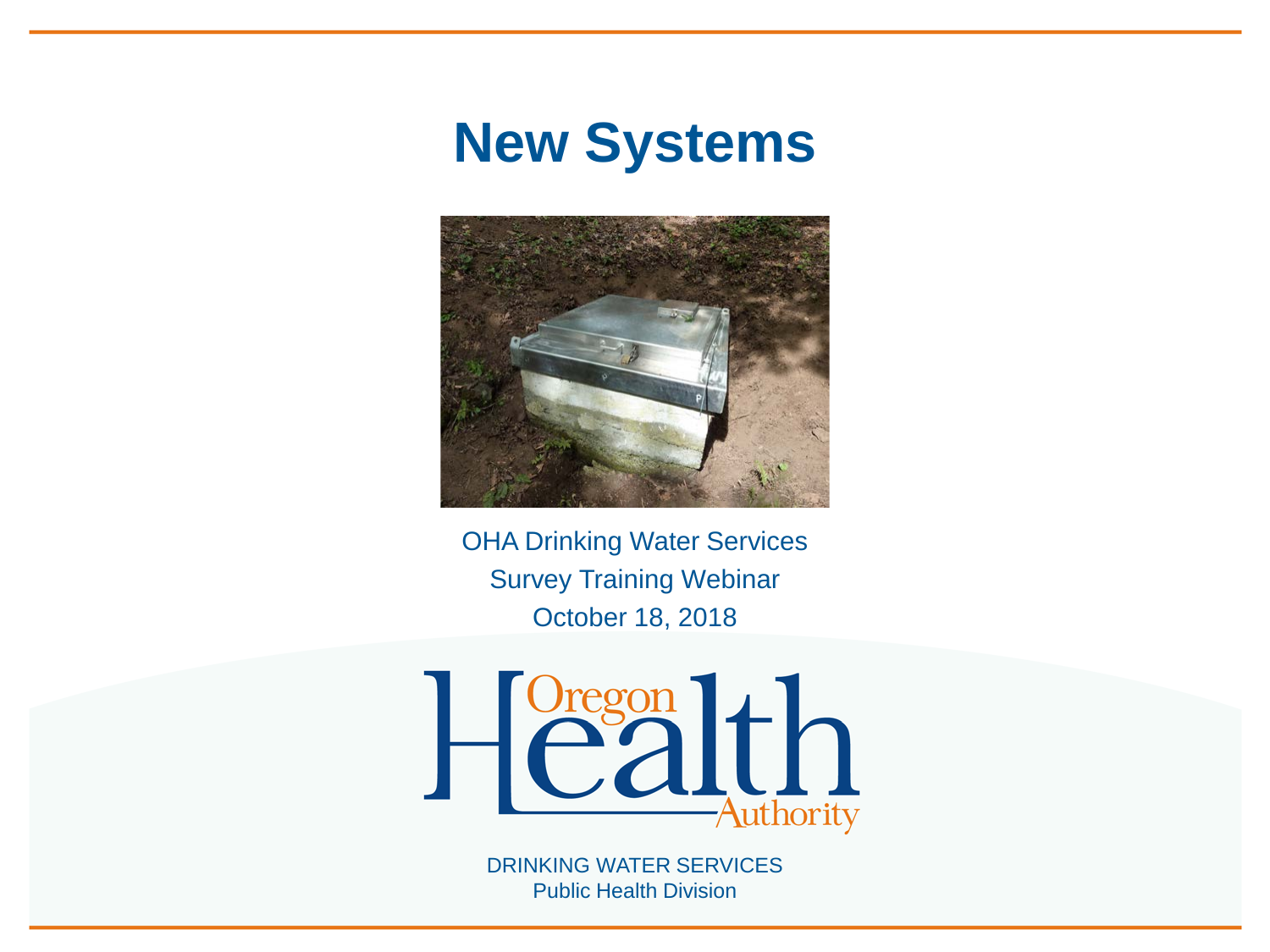



OHA Drinking Water Services Survey Training Webinar October 18, 2018

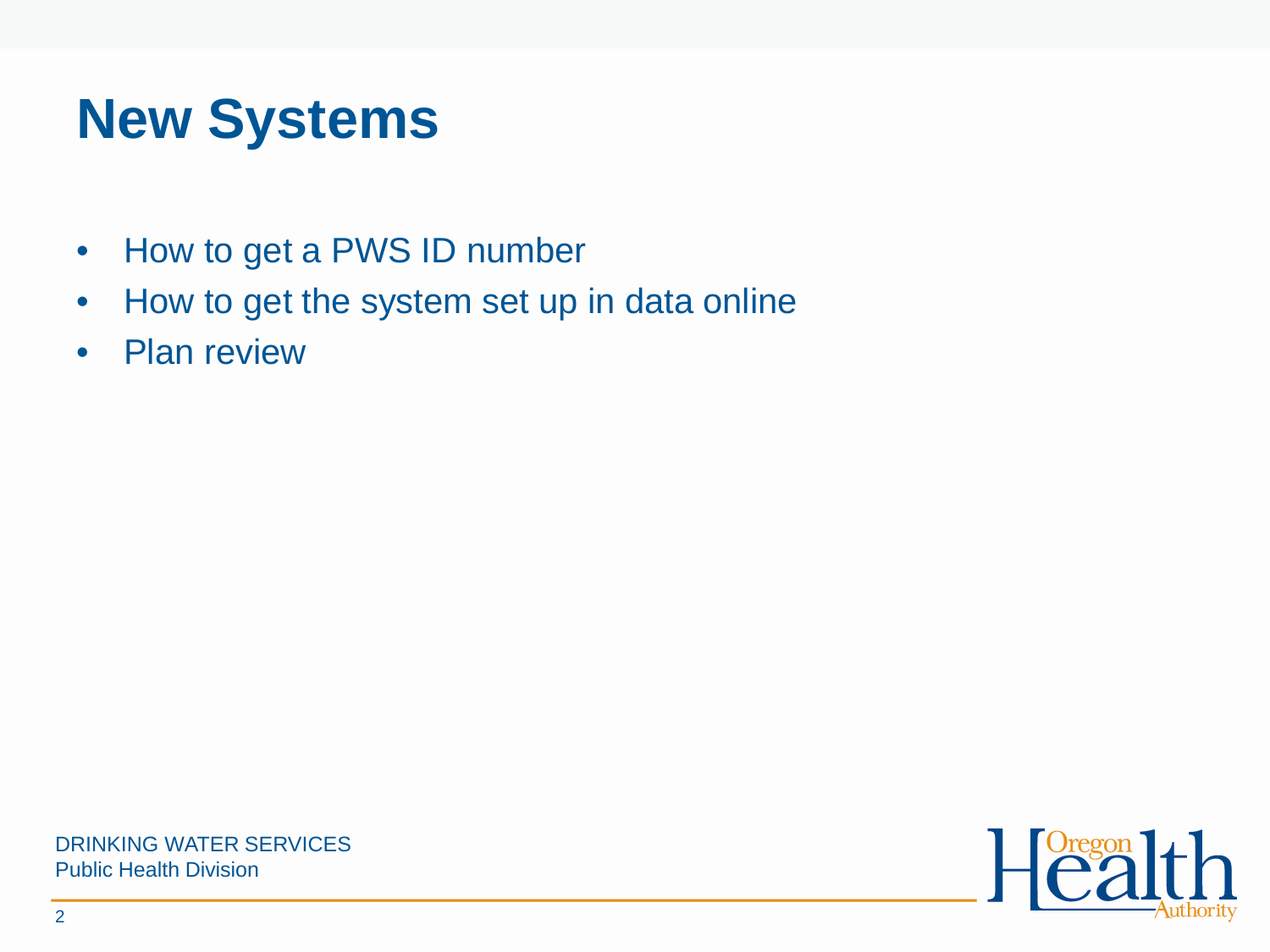# **New Systems**

- How to get a PWS ID number
- How to get the system set up in data online
- Plan review



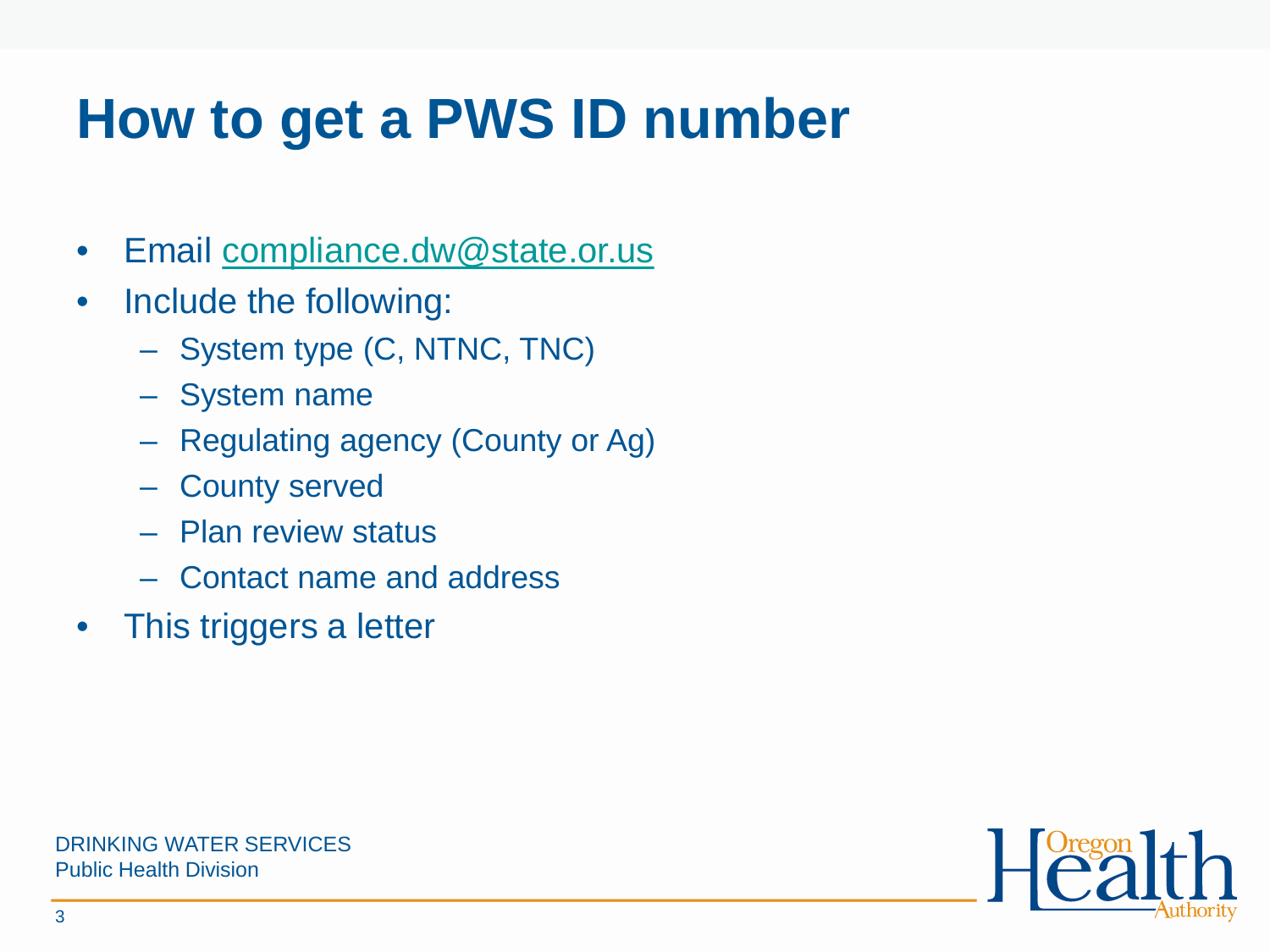## **How to get a PWS ID number**

- Email [compliance.dw@state.or.us](mailto:compliance.dw@state.or.us)
- Include the following:
	- System type (C, NTNC, TNC)
	- System name
	- Regulating agency (County or Ag)
	- County served
	- Plan review status
	- Contact name and address
- This triggers a letter



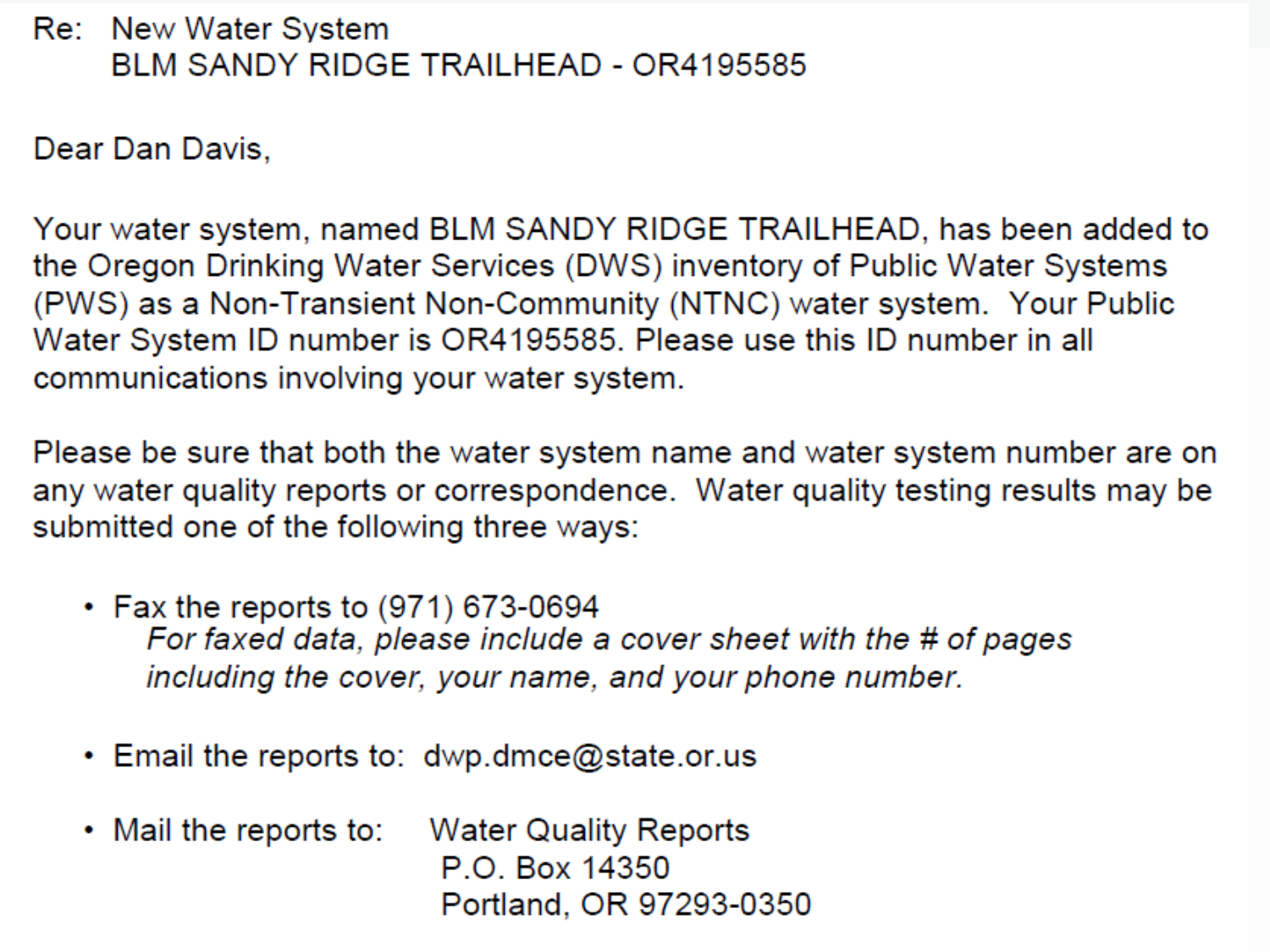### **Re:** New Water System BLM SANDY RIDGE TRAILHEAD - OR4195585

Dear Dan Davis.

Your water system, named BLM SANDY RIDGE TRAILHEAD, has been added to the Oregon Drinking Water Services (DWS) inventory of Public Water Systems (PWS) as a Non-Transient Non-Community (NTNC) water system. Your Public Water System ID number is OR4195585. Please use this ID number in all communications involving your water system.

Please be sure that both the water system name and water system number are on any water quality reports or correspondence. Water quality testing results may be submitted one of the following three ways:

- $\cdot$  Fax the reports to (971) 673-0694 For faxed data, please include a cover sheet with the # of pages including the cover, your name, and your phone number.
- Email the reports to:  $dwp.dmce@state.$ or.us
- $\cdot$  Mail the reports to: Water Quality Reports P.O. Box 14350 Portland, OR 97293-0350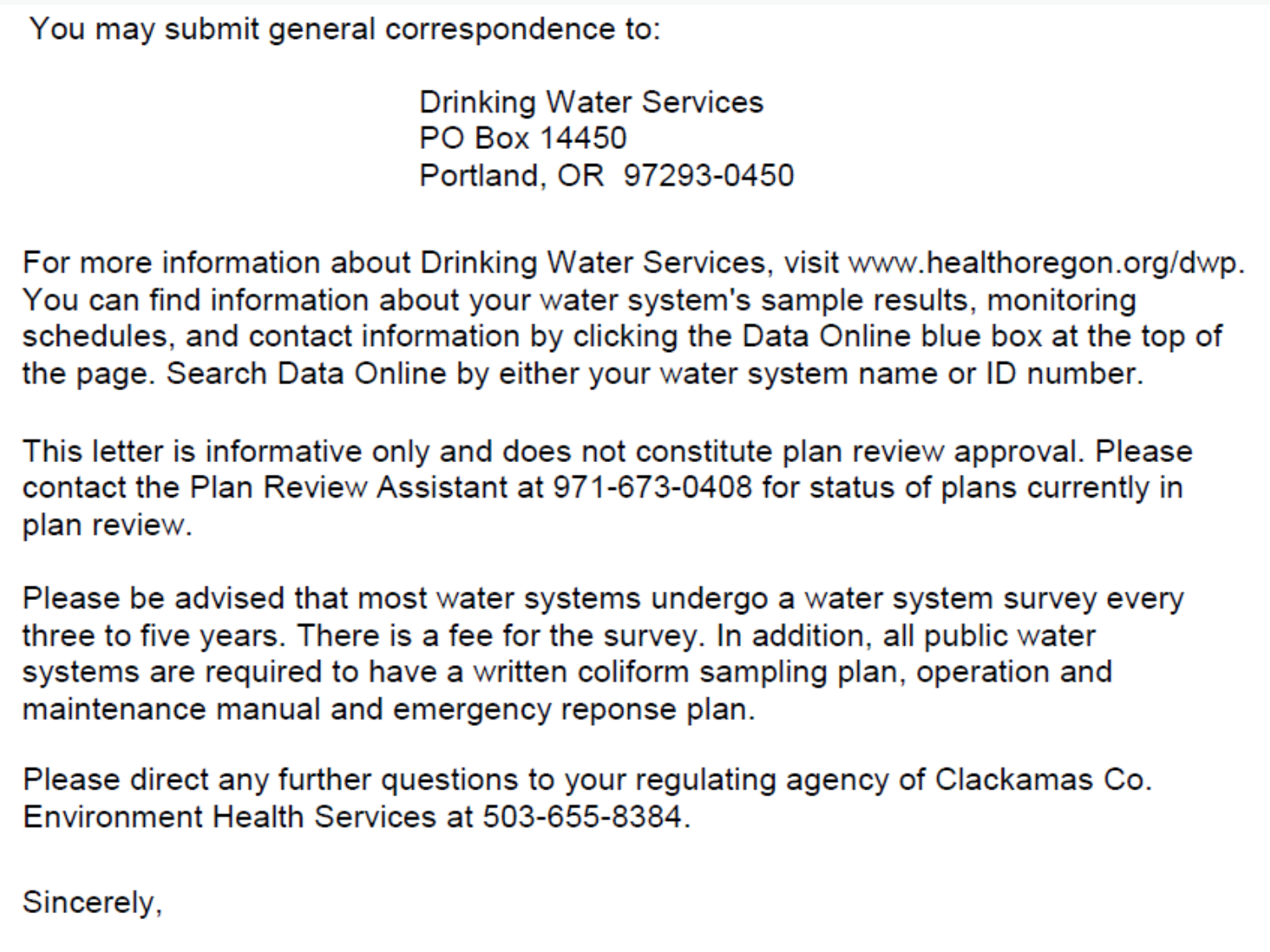You may submit general correspondence to:

**Drinking Water Services** PO Box 14450 Portland, OR 97293-0450

For more information about Drinking Water Services, visit www.healthoregon.org/dwp. You can find information about your water system's sample results, monitoring schedules, and contact information by clicking the Data Online blue box at the top of the page. Search Data Online by either your water system name or ID number.

This letter is informative only and does not constitute plan review approval. Please contact the Plan Review Assistant at 971-673-0408 for status of plans currently in plan review.

Please be advised that most water systems undergo a water system survey every three to five years. There is a fee for the survey. In addition, all public water systems are required to have a written coliform sampling plan, operation and maintenance manual and emergency reponse plan.

Please direct any further questions to your regulating agency of Clackamas Co. Environment Health Services at 503-655-8384.

### Sincerely,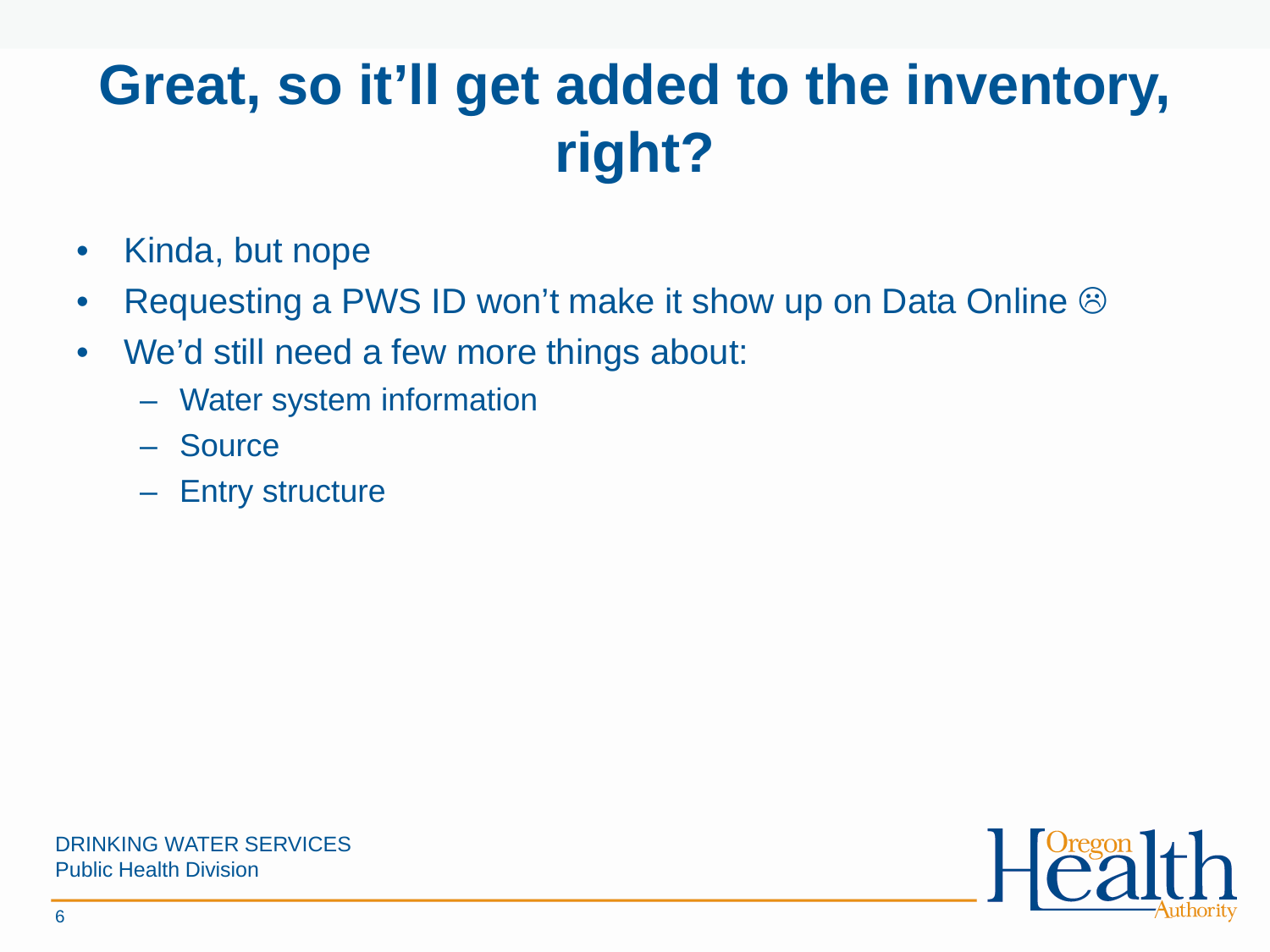# **Great, so it'll get added to the inventory, right?**

- Kinda, but nope
- Requesting a PWS ID won't make it show up on Data Online  $\odot$
- We'd still need a few more things about:
	- Water system information
	- Source
	- Entry structure

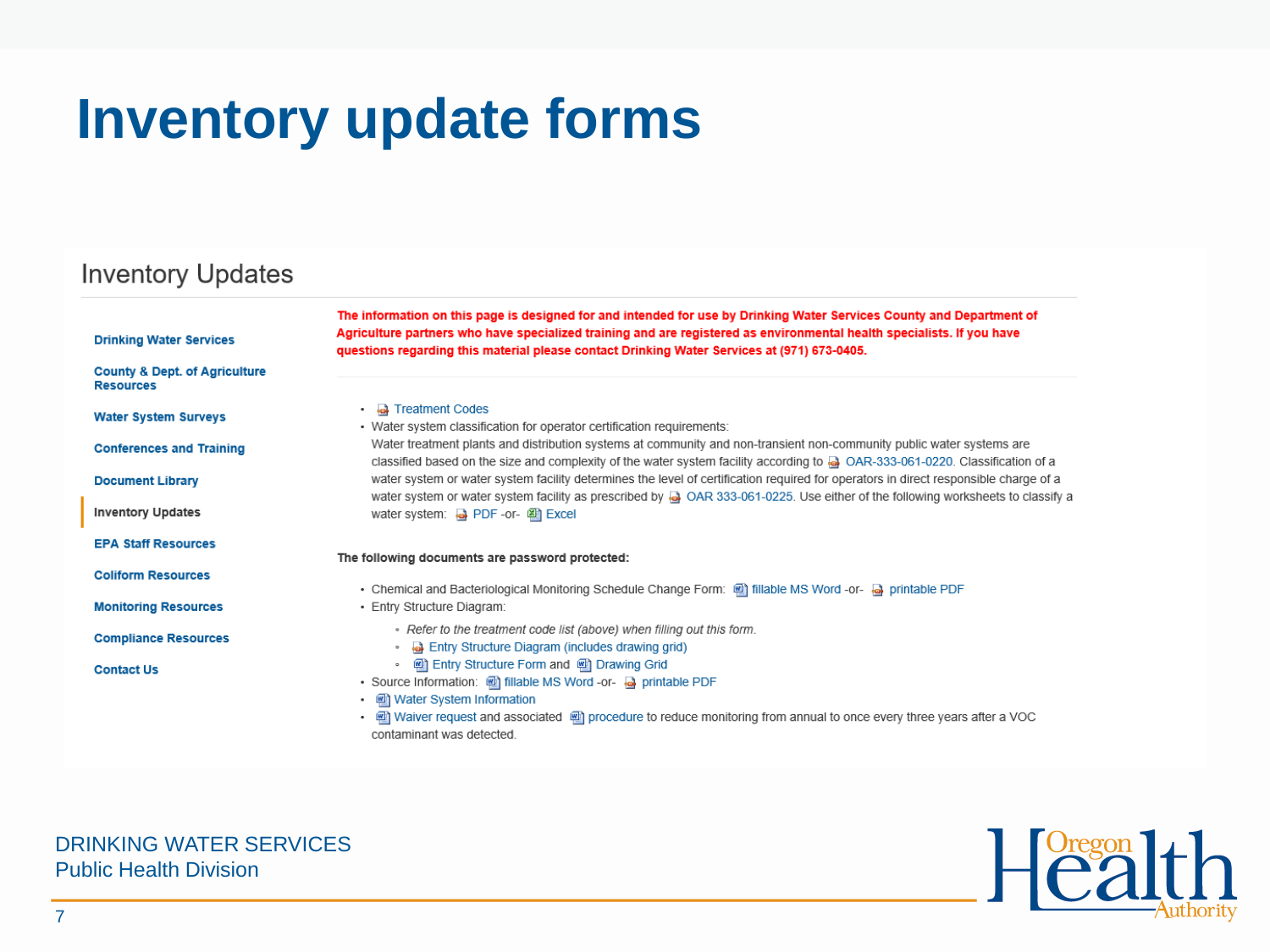## **Inventory update forms**

### **Inventory Updates**

| <b>Drinking Water Services</b>                               | The information on this page is designed for and intended for use by Drinking Water Services County and Department of<br>Agriculture partners who have specialized training and are registered as environmental health specialists. If you have<br>questions regarding this material please contact Drinking Water Services at (971) 673-0405. |
|--------------------------------------------------------------|------------------------------------------------------------------------------------------------------------------------------------------------------------------------------------------------------------------------------------------------------------------------------------------------------------------------------------------------|
| <b>County &amp; Dept. of Agriculture</b><br><b>Resources</b> |                                                                                                                                                                                                                                                                                                                                                |
| <b>Water System Surveys</b>                                  | • <b>a</b> Treatment Codes<br>• Water system classification for operator certification requirements:                                                                                                                                                                                                                                           |
| <b>Conferences and Training</b>                              | Water treatment plants and distribution systems at community and non-transient non-community public water systems are<br>classified based on the size and complexity of the water system facility according to a OAR-333-061-0220. Classification of a                                                                                         |
| <b>Document Library</b>                                      | water system or water system facility determines the level of certification required for operators in direct responsible charge of a<br>water system or water system facility as prescribed by @ OAR 333-061-0225. Use either of the following worksheets to classify a                                                                        |
| <b>Inventory Updates</b>                                     | water system: a PDF-or-                                                                                                                                                                                                                                                                                                                        |
| <b>EPA Staff Resources</b>                                   | The following documents are password protected:                                                                                                                                                                                                                                                                                                |
| <b>Coliform Resources</b>                                    | . Chemical and Bacteriological Monitoring Schedule Change Form: [4] fillable MS Word -or- [4] printable PDF                                                                                                                                                                                                                                    |
| <b>Monitoring Resources</b>                                  | • Entry Structure Diagram:                                                                                                                                                                                                                                                                                                                     |
| <b>Compliance Resources</b>                                  | - Refer to the treatment code list (above) when filling out this form.<br><b>B</b> Entry Structure Diagram (includes drawing grid)<br>$\circ$                                                                                                                                                                                                  |
| <b>Contact Us</b>                                            | (a) Entry Structure Form and (a) Drawing Grid<br>$\circ$<br>• Source Information: [9] fillable MS Word -or- [4] printable PDF<br>Water System Information<br>٠<br>ed Waiver request and associated ed procedure to reduce monitoring from annual to once every three years after a VOC<br>$\bullet$<br>contaminant was detected.               |
|                                                              |                                                                                                                                                                                                                                                                                                                                                |

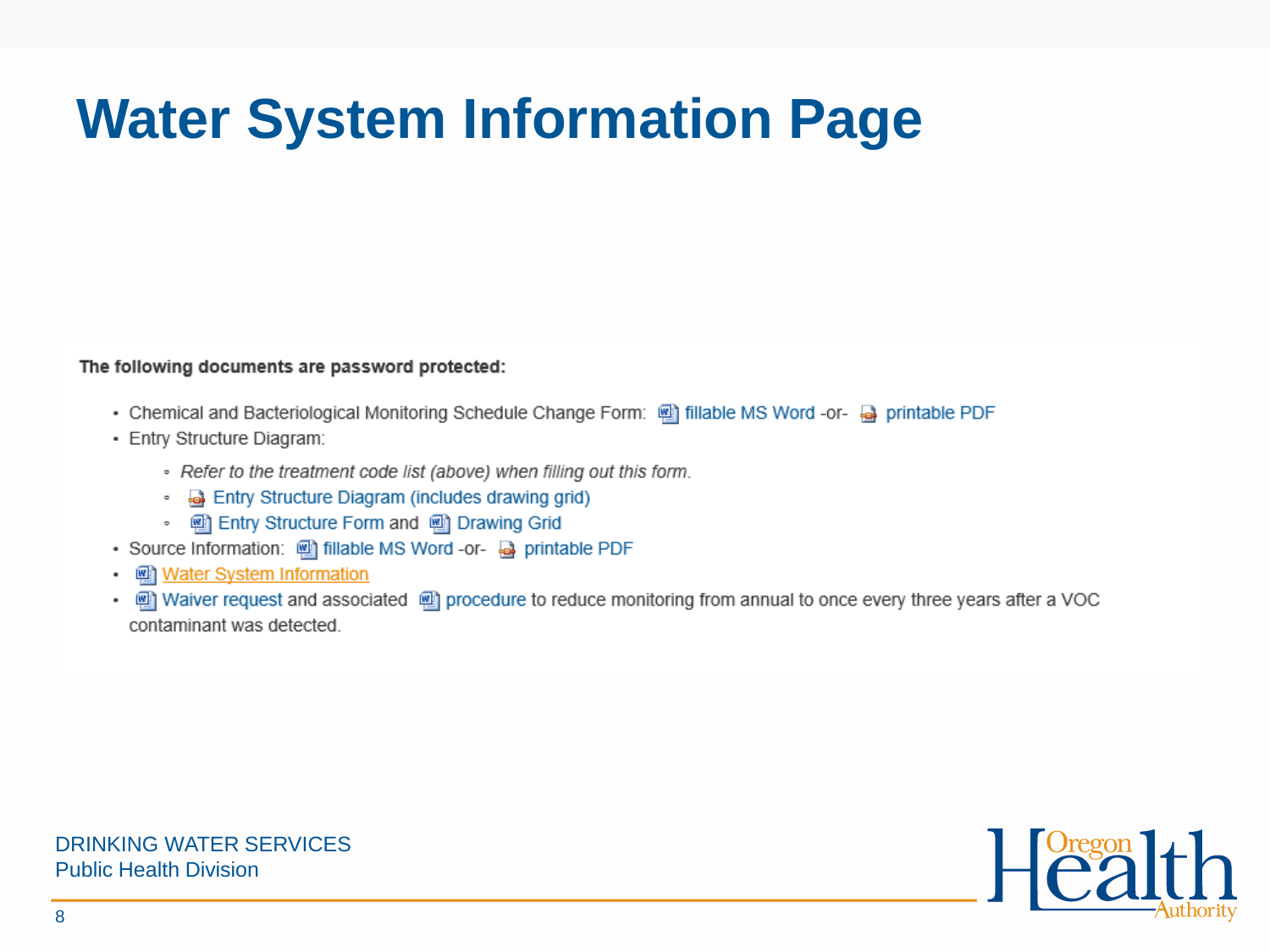# **Water System Information Page**

#### The following documents are password protected:

- . Chemical and Bacteriological Monitoring Schedule Change Form: @ fillable MS Word -or- @ printable PDF
- · Entry Structure Diagram:
	- Refer to the treatment code list (above) when filling out this form.
	- **a** Entry Structure Diagram (includes drawing grid)
	- [2] Entry Structure Form and [2] Drawing Grid
- Source Information: [11] fillable MS Word -or- @ printable PDF
- water System Information ٠
- in Waiver request and associated in procedure to reduce monitoring from annual to once every three years after a VOC contaminant was detected.

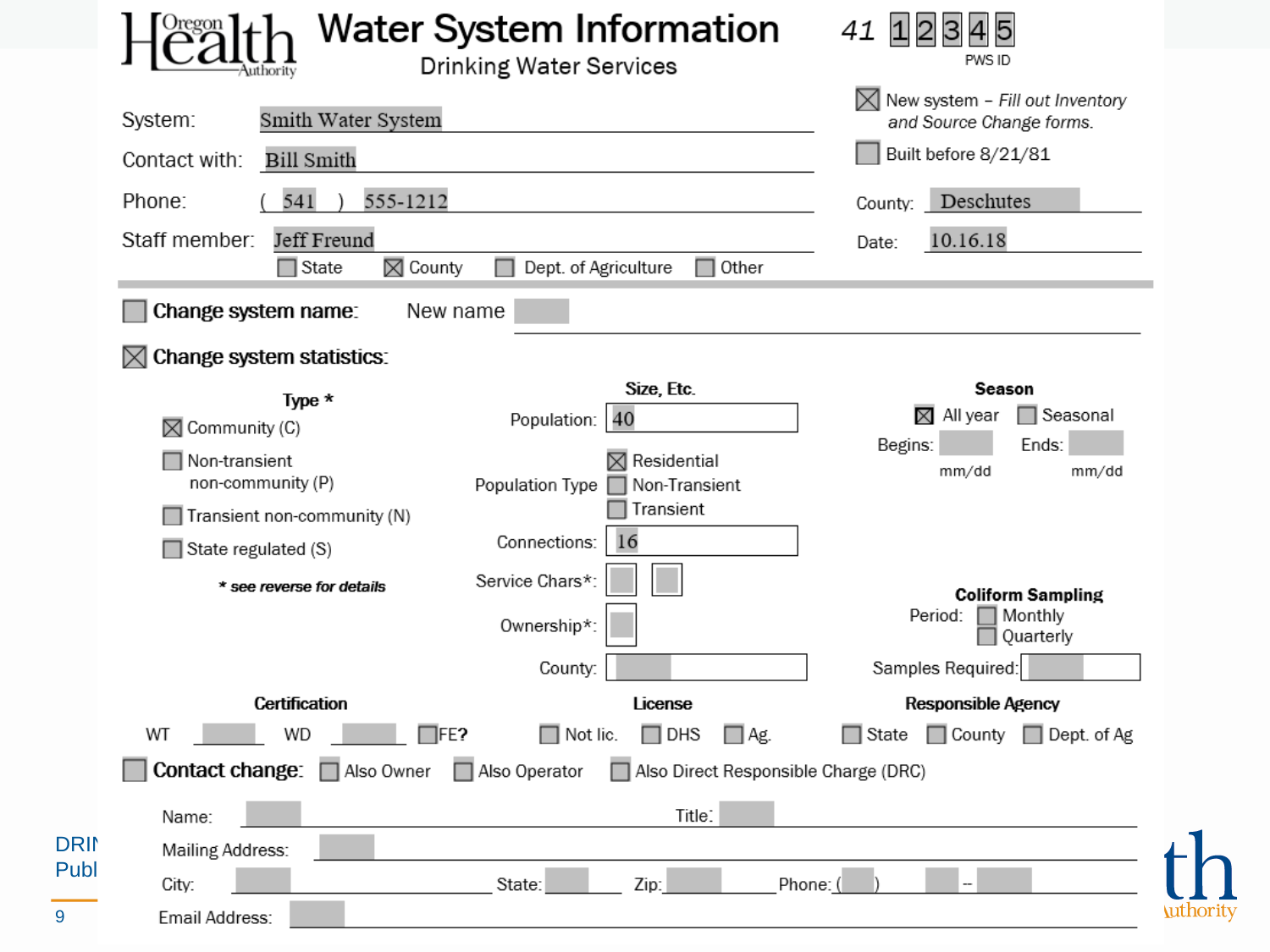|                                                                    | Water System Information<br><b>Drinking Water Services</b>                 | 41<br>PWS ID                                                                        |
|--------------------------------------------------------------------|----------------------------------------------------------------------------|-------------------------------------------------------------------------------------|
| Smith Water System<br>System:<br>Bill Smith<br>Contact with:       |                                                                            | New system - Fill out Inventory<br>and Source Change forms.<br>Built before 8/21/81 |
| 555-1212<br>541<br>Phone:                                          |                                                                            | Deschutes<br>County:                                                                |
| Jeff Freund<br>Staff member:<br>$\Box$ State<br>$\boxtimes$ County | Dept. of Agriculture<br>$\Box$ Other                                       | 10.16.18<br>Date:                                                                   |
| Change system name:                                                | New name                                                                   |                                                                                     |
| Change system statistics:<br>M                                     |                                                                            |                                                                                     |
| Type *<br>$\boxtimes$ Community (C)                                | Size, Etc.<br>Population: 40                                               | Season<br>$\boxtimes$ All year<br>□ Seasonal<br>Begins:<br>Ends:                    |
| Non-transient<br>non-community (P)                                 | $\boxtimes$ Residential<br>Non-Transient<br>Population Type <sub>[1]</sub> | mm/dd<br>mm/dd                                                                      |
| Transient non-community (N)                                        | Transient                                                                  |                                                                                     |
| State regulated (S)                                                | 16<br>Connections:                                                         |                                                                                     |
| * see reverse for details                                          | Service Chars*:<br>Ownership*:                                             | <b>Coliform Sampling</b><br>Period:<br>Monthly<br>Quarterly                         |
|                                                                    | County:                                                                    | Samples Required:                                                                   |
| <b>Certification</b>                                               | License                                                                    | <b>Responsible Agency</b>                                                           |
| WT<br>WD                                                           | $\Box$ Not lic.<br>$\Box$ DHS<br>IFE?<br>$\square$ Ag.                     | □ County □ Dept. of Ag<br>∏ State                                                   |
| Contact change:<br>□ Also Owner                                    | Also Operator<br>Also Direct Responsible Charge (DRC)                      |                                                                                     |
| Name:                                                              | Title:                                                                     |                                                                                     |
| Mailing Address:                                                   |                                                                            |                                                                                     |
| City:                                                              | State:<br>Zip:                                                             | Phone:                                                                              |
| Email Address:                                                     |                                                                            |                                                                                     |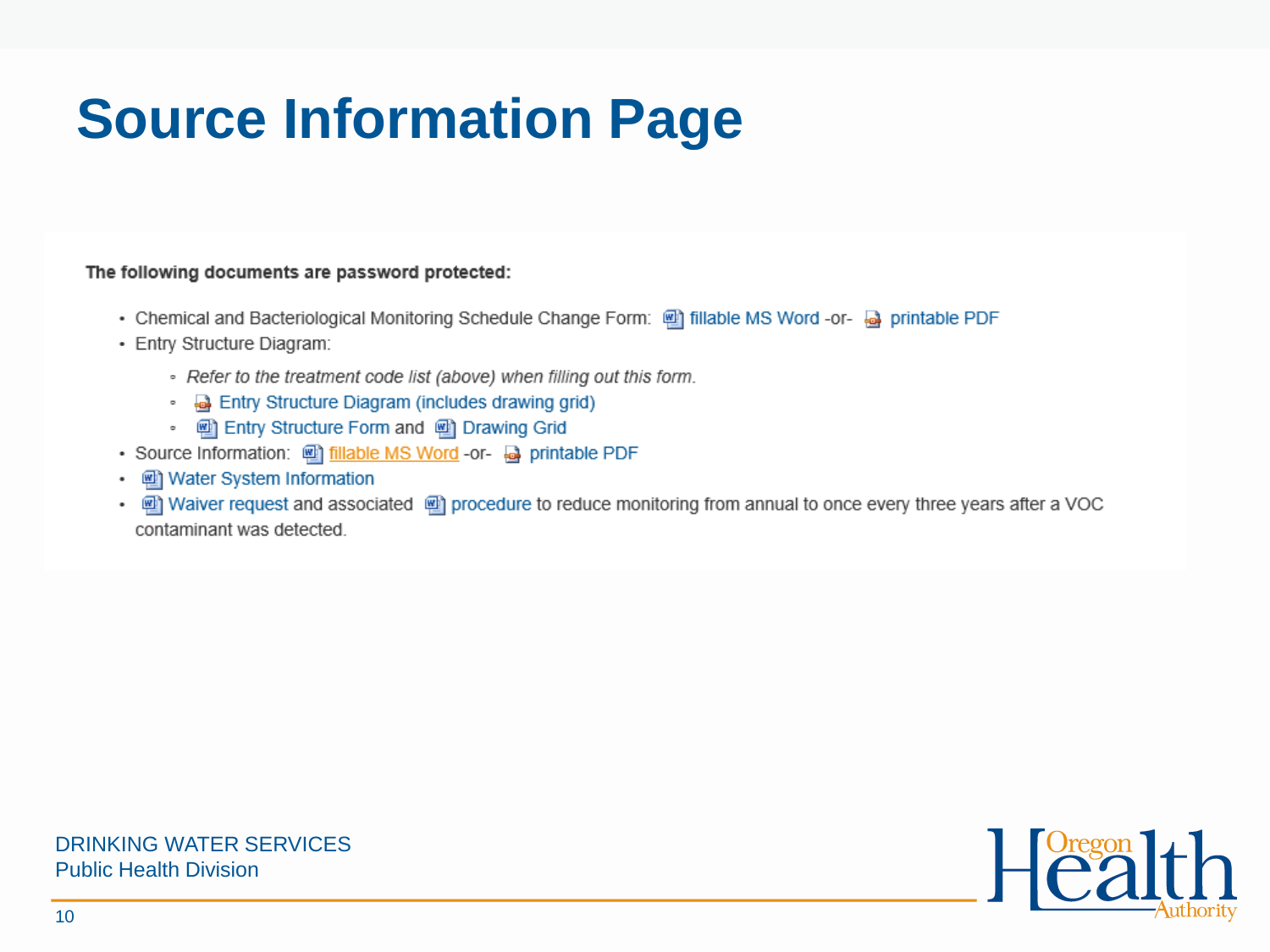# **Source Information Page**

#### The following documents are password protected:

- Chemical and Bacteriological Monitoring Schedule Change Form: @ fillable MS Word -or- @ printable PDF
- · Entry Structure Diagram:
	- Refer to the treatment code list (above) when filling out this form.
	- **a** Entry Structure Diagram (includes drawing grid)
	- [2] Entry Structure Form and [2] Drawing Grid
- Source Information: [9] fillable MS Word -or- @ printable PDF
- [2] Water System Information
- [9] Waiver request and associated [9] procedure to reduce monitoring from annual to once every three years after a VOC contaminant was detected.

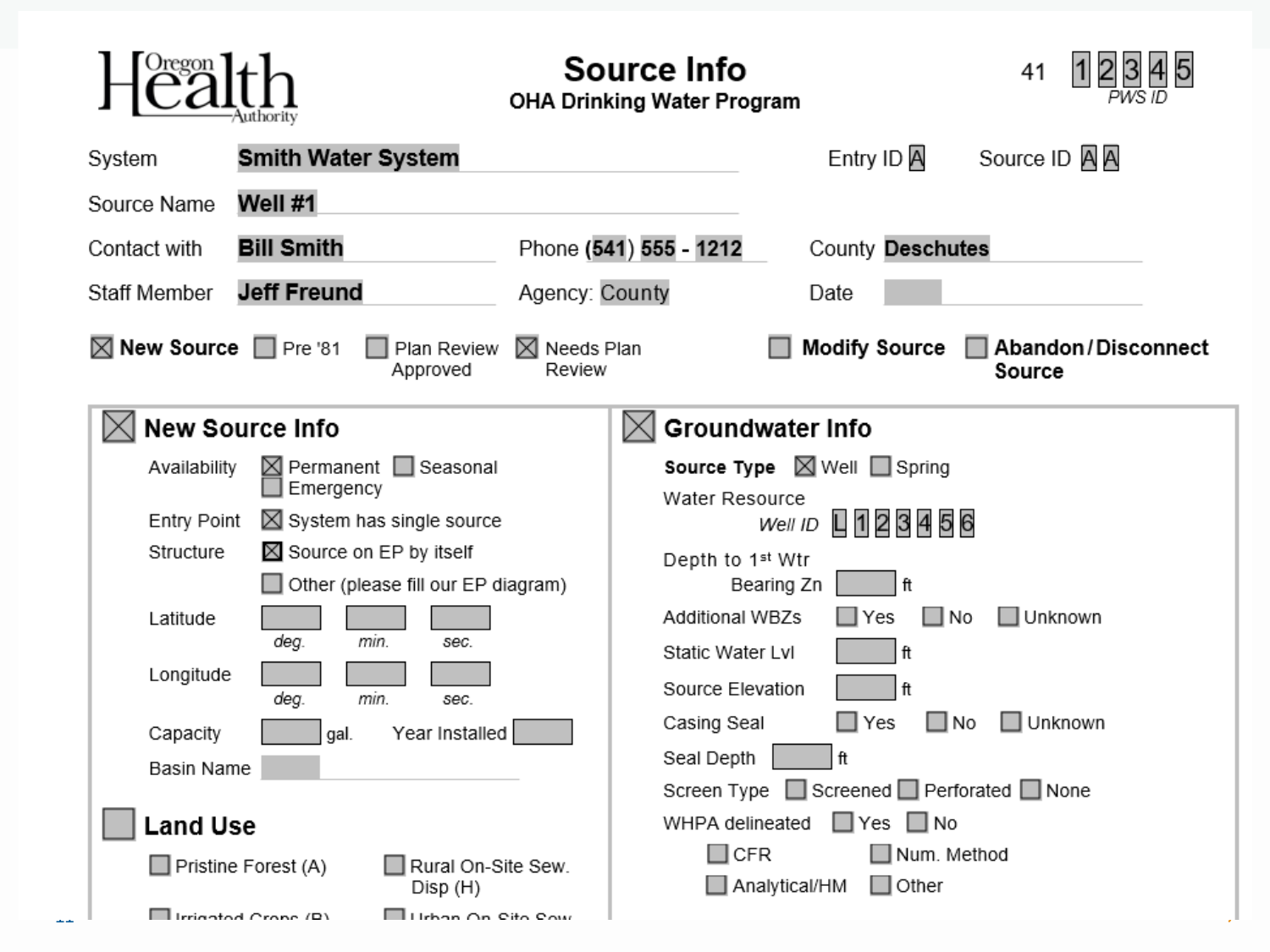|                                                                                                                                                                                                                                                                                                                                                               | Source Info<br><b>OHA Drinking Water Program</b>                                                                                                                                                                                                                                                                                                                                               | 41                                  |
|---------------------------------------------------------------------------------------------------------------------------------------------------------------------------------------------------------------------------------------------------------------------------------------------------------------------------------------------------------------|------------------------------------------------------------------------------------------------------------------------------------------------------------------------------------------------------------------------------------------------------------------------------------------------------------------------------------------------------------------------------------------------|-------------------------------------|
| <b>Smith Water System</b><br>System                                                                                                                                                                                                                                                                                                                           | Entry ID <sub>A</sub>                                                                                                                                                                                                                                                                                                                                                                          | Source ID A A                       |
| Well #1<br>Source Name                                                                                                                                                                                                                                                                                                                                        |                                                                                                                                                                                                                                                                                                                                                                                                |                                     |
| <b>Bill Smith</b><br>Contact with                                                                                                                                                                                                                                                                                                                             | Phone (541) 555 - 1212<br>County Deschutes                                                                                                                                                                                                                                                                                                                                                     |                                     |
| <b>Jeff Freund</b><br><b>Staff Member</b>                                                                                                                                                                                                                                                                                                                     | Agency: County<br>Date                                                                                                                                                                                                                                                                                                                                                                         |                                     |
| $\boxtimes$ New Source $\Box$ Pre '81<br>Plan Review<br>Approved                                                                                                                                                                                                                                                                                              | <b>Modify Source</b><br>$\boxtimes$ Needs Plan<br>Review                                                                                                                                                                                                                                                                                                                                       | Abandon/Disconnect<br>Source        |
| <b>New Source Info</b><br>$\boxtimes$ Permanent $\Box$ Seasonal<br>Availability<br>Emergency<br>$\boxtimes$ System has single source<br>Entry Point<br>Structure<br>Source on EP by itself<br>Other (please fill our EP diagram)<br>Latitude<br>deg.<br>min.<br>sec.<br>Longitude<br>min.<br>deg.<br>sec.<br>Year Installed<br>Capacity<br>gal.<br>Basin Name | <b>Groundwater Info</b><br><b>Source Type</b> $\boxtimes$ Well $\Box$ Spring<br>Water Resource<br>L 1 2 3 4 5 6<br>Well ID<br>Depth to 1 <sup>st</sup> Wtr<br>ft<br>Bearing Zn<br><b>Additional WBZs</b><br>$\square$ No<br>$\Box$ Yes<br>Static Water Lvl<br>ft<br>Source Elevation<br>ft<br>Casing Seal<br>∐ Yes<br>∐No<br>Seal Depth<br>ft<br>□ Screened □ Perforated □ None<br>Screen Type | $\Box$ Unknown<br>$\square$ Unknown |
| <b>Land Use</b><br>$\Box$ Pristine Forest (A)<br>Rural On-Site Sew.<br>Disp (H)<br>$\Box$ Irrigated Crope (R)<br>$\Box$ Lichan On Pito Pow                                                                                                                                                                                                                    | WHPA delineated<br>$\square$ Yes<br>$\Box$ No<br>∐Num. Method<br>$\square$ CFR<br>Analytical/HM<br>$\square$ Other                                                                                                                                                                                                                                                                             |                                     |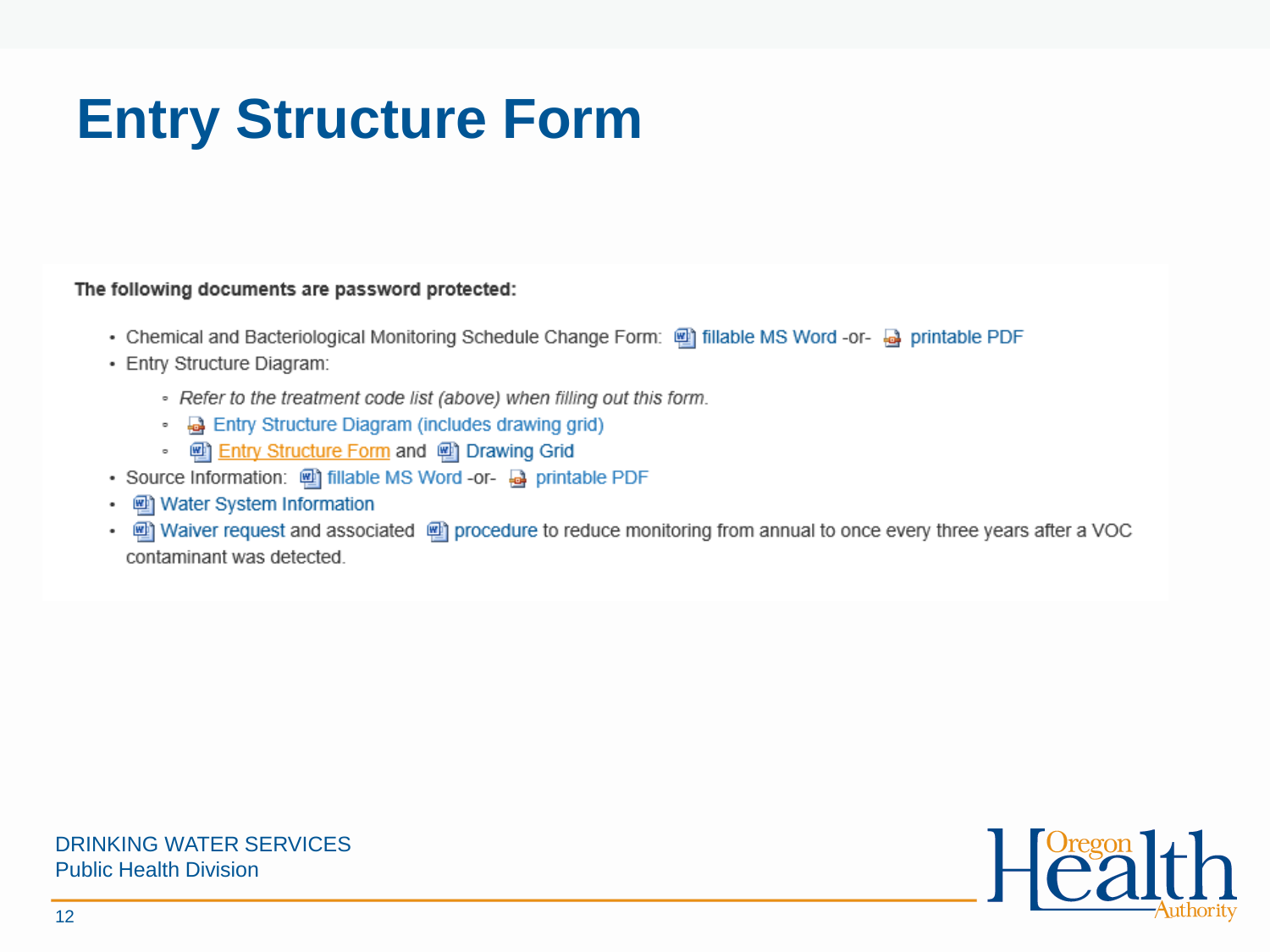# **Entry Structure Form**

The following documents are password protected:

- . Chemical and Bacteriological Monitoring Schedule Change Form: @ fillable MS Word -or- @ printable PDF
- Entry Structure Diagram:
	- Refer to the treatment code list (above) when filling out this form.
	- **a** Entry Structure Diagram (includes drawing grid)
	- [2] Entry Structure Form and [2] Drawing Grid
- Source Information: [11] fillable MS Word -or- @ printable PDF
- Water System Information ٠
- Waiver request and associated @ procedure to reduce monitoring from annual to once every three years after a VOC ٠ contaminant was detected.

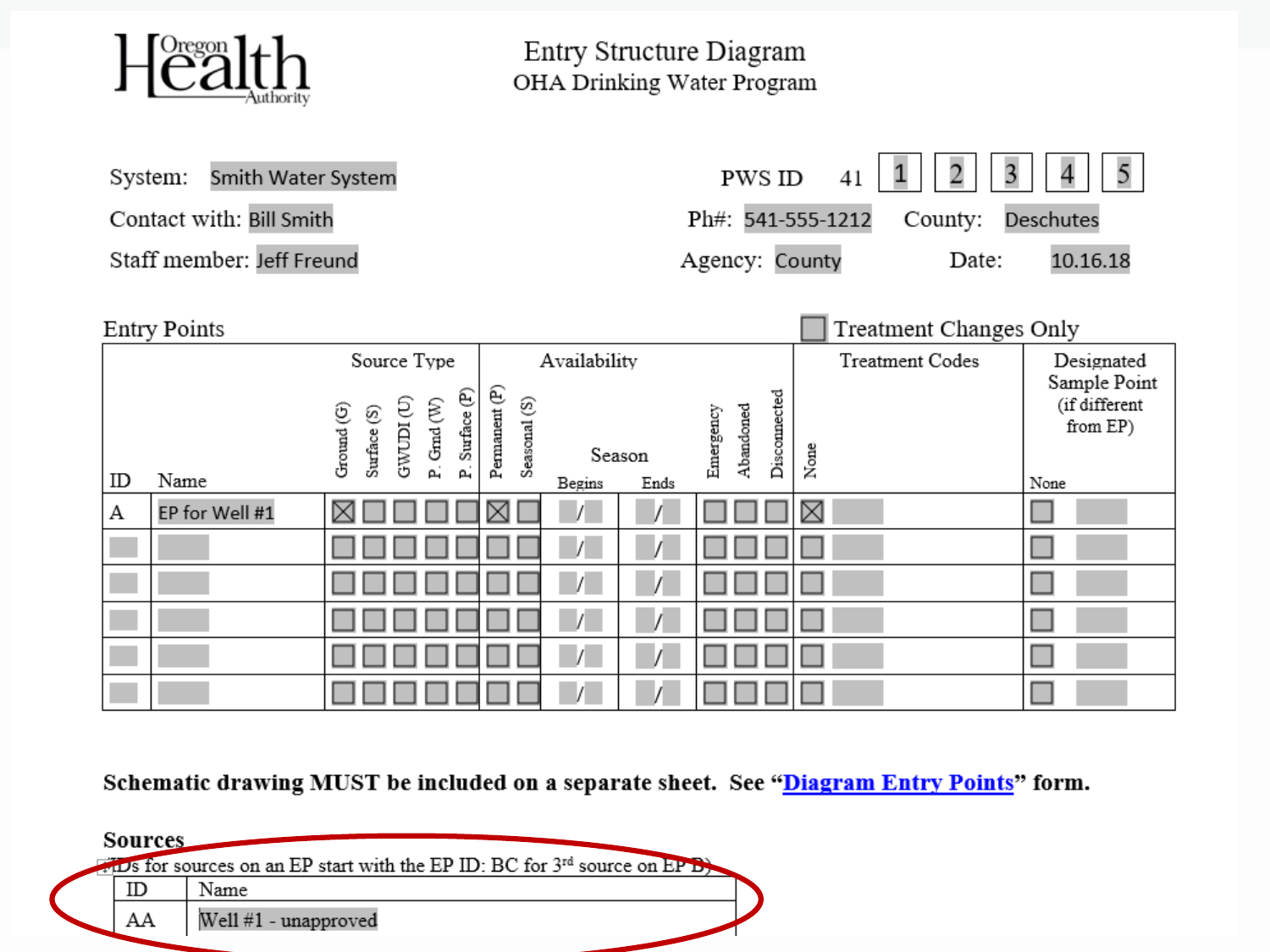

Entry Structure Diagram OHA Drinking Water Program

| System:                   | 3<br>2<br>Smith Water System<br>PWS ID<br>41                                                                                                                                       |                                                           |                                        |                        | 5<br>4                                            |
|---------------------------|------------------------------------------------------------------------------------------------------------------------------------------------------------------------------------|-----------------------------------------------------------|----------------------------------------|------------------------|---------------------------------------------------|
| Contact with: Bill Smith  |                                                                                                                                                                                    |                                                           | Ph#: 541-555-1212                      | County:                | Deschutes                                         |
| Staff member: Jeff Freund |                                                                                                                                                                                    |                                                           | Agency: County                         | Date:                  | 10.16.18                                          |
| Entry Points              |                                                                                                                                                                                    |                                                           |                                        | Treatment Changes Only |                                                   |
|                           | Source Type                                                                                                                                                                        | Availability                                              |                                        | <b>Treatment Codes</b> | Designated                                        |
| Name<br>ID                | P. Surface (P)<br>$\begin{array}{c} \mathrm{GWUDI} \left( \mathrm{U} \right) \\ \mathrm{P} \cdot \mathrm{Grad} \left( \mathrm{W} \right) \end{array}$<br>Ground (G)<br>Surface (S) | Permanent (P)<br>Seasonal (S)<br>Season<br>Ends<br>Begins | Disconnected<br>Abandoned<br>Emergency | None                   | Sample Point<br>(if different<br>from EP)<br>None |
| EP for Well #1<br>А       |                                                                                                                                                                                    | ⊠                                                         |                                        | ⊠                      |                                                   |
|                           |                                                                                                                                                                                    |                                                           |                                        |                        |                                                   |
|                           |                                                                                                                                                                                    |                                                           |                                        |                        |                                                   |
|                           |                                                                                                                                                                                    |                                                           |                                        |                        |                                                   |
|                           |                                                                                                                                                                                    |                                                           |                                        |                        |                                                   |
|                           |                                                                                                                                                                                    |                                                           |                                        |                        |                                                   |

Schematic drawing MUST be included on a separate sheet. See "Diagram Entry Points" form.

| Sources |                                                                                   |
|---------|-----------------------------------------------------------------------------------|
|         | TIDS for sources on an EP start with the EP ID: BC for 3rd source on EP B<br>Name |
| AΑ      | Well #1 - unapproved                                                              |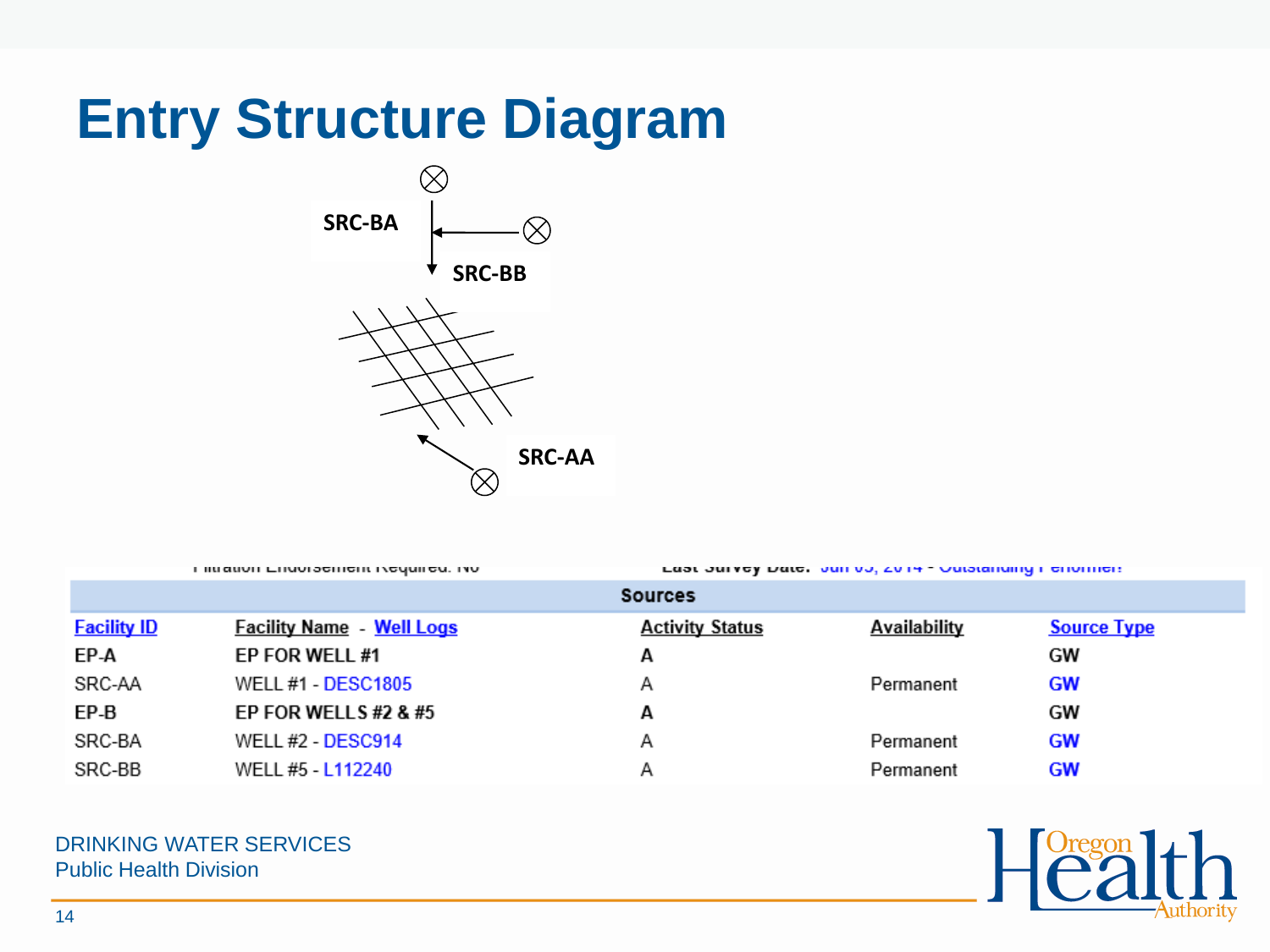## **Entry Structure Diagram**



ι πααιντι επαντροπιστι πογαισα, τον

Last Jurvey Date, Juli 00, 2014 - Outstanding Ferroment

|                    |                                  | <b>Sources</b>         |                     |                    |
|--------------------|----------------------------------|------------------------|---------------------|--------------------|
| <b>Facility ID</b> | <b>Facility Name - Well Logs</b> | <b>Activity Status</b> | <b>Availability</b> | <b>Source Type</b> |
| EP-A               | EP FOR WELL #1                   | А                      |                     | GW                 |
| SRC-AA             | <b>WELL #1 - DESC1805</b>        | Α                      | Permanent           | GW                 |
| EP-B               | EP FOR WELLS #2 & #5             | А                      |                     | GW                 |
| SRC-BA             | <b>WELL #2 - DESC914</b>         | Α                      | Permanent           | GW                 |
| SRC-BB             | WELL #5 - L112240                | Α                      | Permanent           | GW                 |

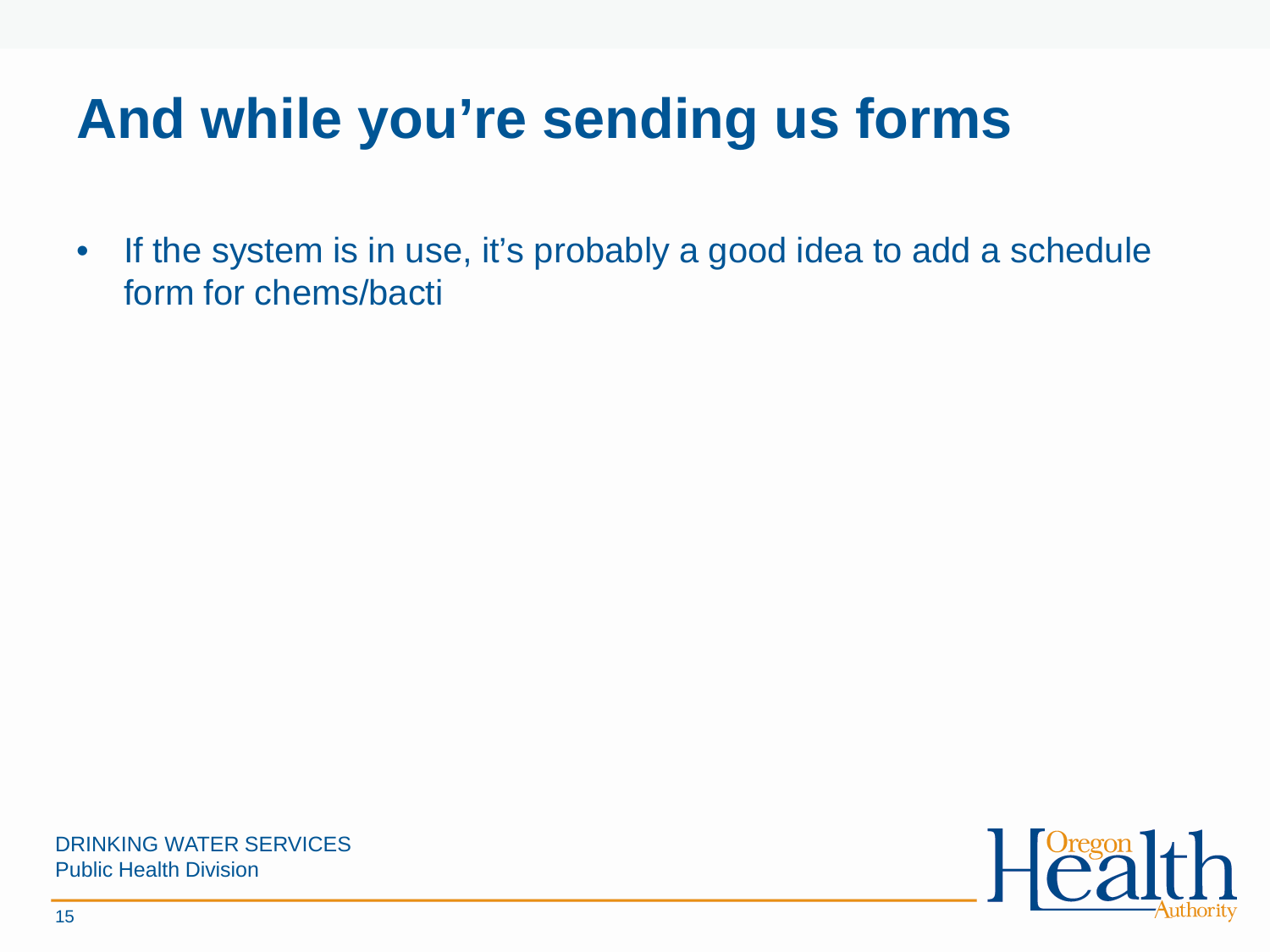# **And while you're sending us forms**

• If the system is in use, it's probably a good idea to add a schedule form for chems/bacti

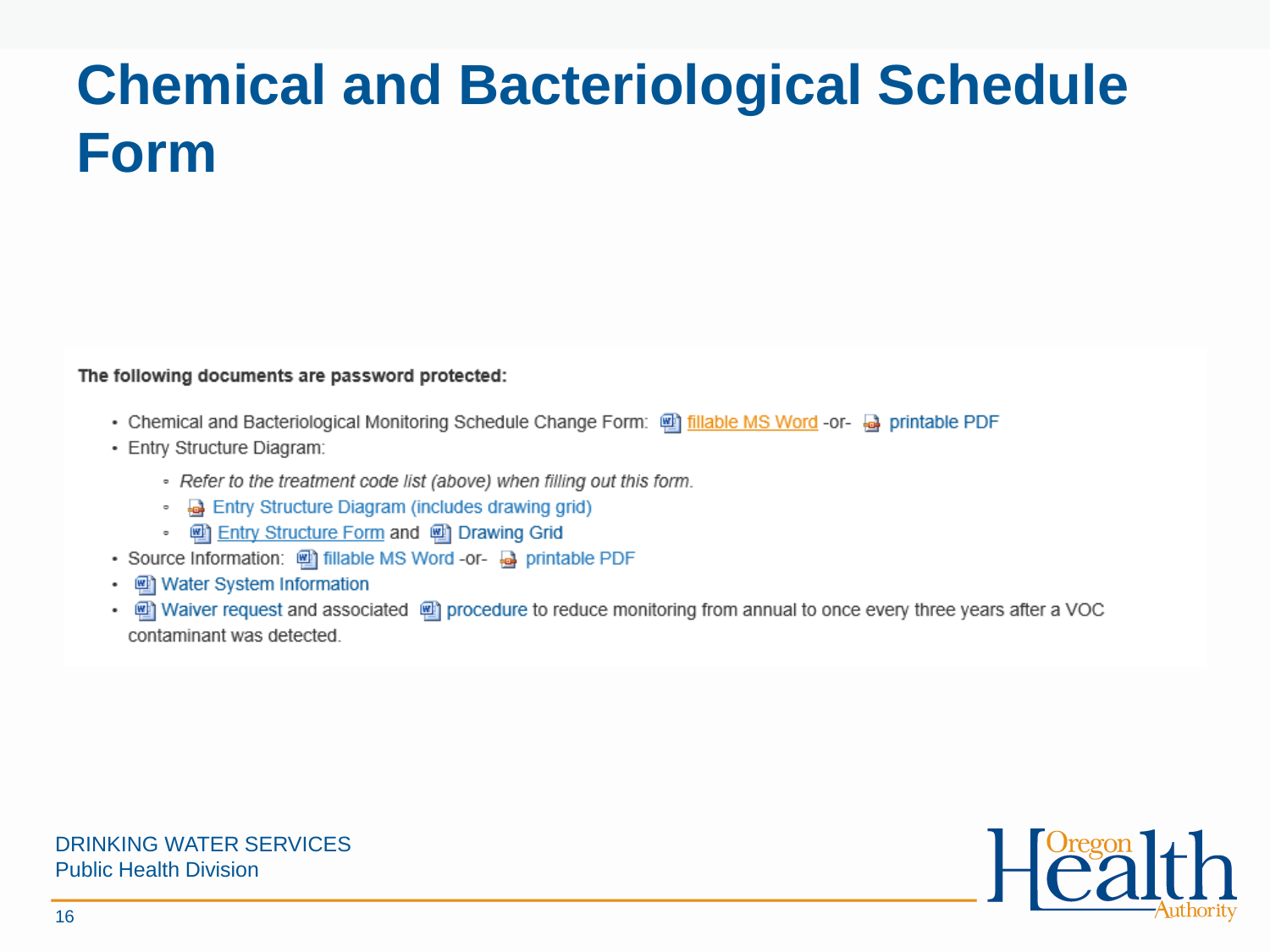# **Chemical and Bacteriological Schedule Form**

The following documents are password protected:

- . Chemical and Bacteriological Monitoring Schedule Change Form: @ fillable MS Word -or- @ printable PDF
- · Entry Structure Diagram:
	- Refer to the treatment code list (above) when filling out this form.
	- **a** Entry Structure Diagram (includes drawing grid)
	- [2] Entry Structure Form and [2] Drawing Grid
- Source Information: 四 fillable MS Word -or- 國 printable PDF
- [2] Water System Information
- in Waiver request and associated in procedure to reduce monitoring from annual to once every three years after a VOC contaminant was detected.



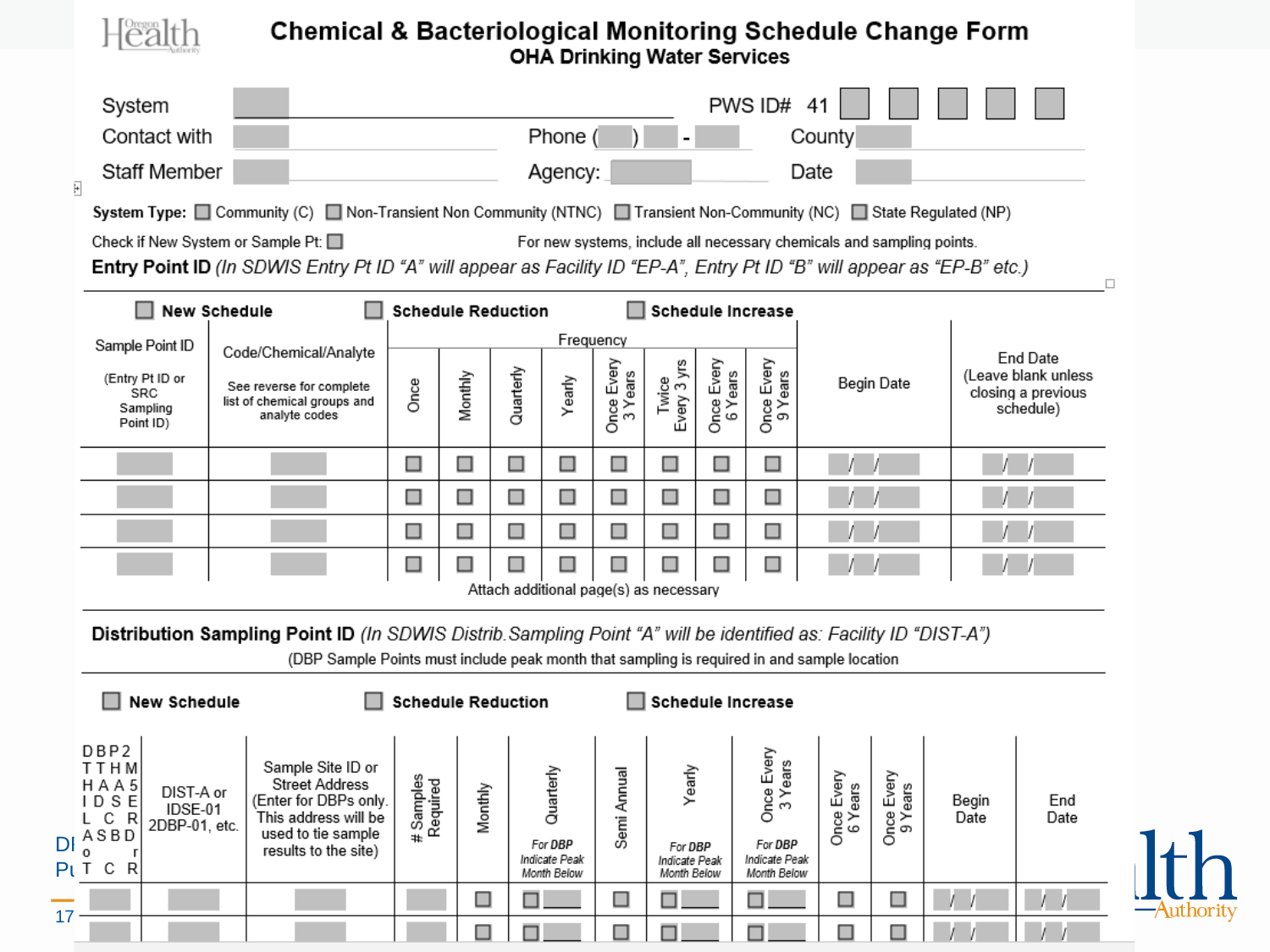### **Chemical & Bacteriological Monitoring Schedule Change Form**<br>OHA Drinking Water Services

 $H^{\text{Oreson}}_{\text{Call}}$ 

| System                                                                                                                                         |                                                                                                                                                                                                                  |                                                   |                           |           |                                                      |                       |                                                   |                       | PWS ID#                                                                   | 41                    |                       |               |                                                        |
|------------------------------------------------------------------------------------------------------------------------------------------------|------------------------------------------------------------------------------------------------------------------------------------------------------------------------------------------------------------------|---------------------------------------------------|---------------------------|-----------|------------------------------------------------------|-----------------------|---------------------------------------------------|-----------------------|---------------------------------------------------------------------------|-----------------------|-----------------------|---------------|--------------------------------------------------------|
| Contact with                                                                                                                                   |                                                                                                                                                                                                                  | Phone (<br>County                                 |                           |           |                                                      |                       |                                                   |                       |                                                                           |                       |                       |               |                                                        |
| Staff Member<br>F                                                                                                                              |                                                                                                                                                                                                                  |                                                   |                           |           | Agency:                                              |                       |                                                   |                       | Date                                                                      |                       |                       |               |                                                        |
|                                                                                                                                                | System Type: □ Community (C) □ Non-Transient Non Community (NTNC) □ Transient Non-Community (NC) □ State Regulated (NP)                                                                                          |                                                   |                           |           |                                                      |                       |                                                   |                       |                                                                           |                       |                       |               |                                                        |
|                                                                                                                                                | Check if New System or Sample Pt: $\square$                                                                                                                                                                      |                                                   |                           |           |                                                      |                       |                                                   |                       | For new systems, include all necessary chemicals and sampling points.     |                       |                       |               |                                                        |
|                                                                                                                                                | Entry Point ID (In SDWIS Entry Pt ID "A" will appear as Facility ID "EP-A", Entry Pt ID "B" will appear as "EP-B" etc.)                                                                                          |                                                   |                           |           |                                                      |                       |                                                   |                       |                                                                           |                       |                       |               | □                                                      |
| H                                                                                                                                              | <b>New Schedule</b>                                                                                                                                                                                              |                                                   | <b>Schedule Reduction</b> |           |                                                      |                       |                                                   |                       | Schedule Increase                                                         |                       |                       |               |                                                        |
| Sample Point ID                                                                                                                                | Code/Chemical/Analyte                                                                                                                                                                                            |                                                   |                           |           | Frequency                                            |                       |                                                   |                       |                                                                           |                       |                       |               | <b>End Date</b>                                        |
| (Entry Pt ID or<br>SRC<br>Sampling<br>Point ID)                                                                                                | See reverse for complete<br>list of chemical groups and<br>analyte codes                                                                                                                                         | Once                                              | Monthly                   | Quarterly | Yearly                                               | Once Every<br>3 Years | Every 3 yrs<br>Twice                              | Once Every<br>6 Years | ears<br>ears<br>$\frac{1}{9}$                                             |                       | Begin Date            |               | (Leave blank unless<br>closing a previous<br>schedule) |
|                                                                                                                                                |                                                                                                                                                                                                                  | □                                                 | □                         | □         | □                                                    | □                     | □                                                 | □                     | □                                                                         |                       |                       |               |                                                        |
|                                                                                                                                                |                                                                                                                                                                                                                  | □                                                 | □                         | □         | □                                                    | □                     | □                                                 | □                     | □                                                                         |                       |                       |               |                                                        |
|                                                                                                                                                |                                                                                                                                                                                                                  | $\Box$                                            | □                         | $\Box$    | □                                                    | □                     | $\Box$                                            | □                     | $\Box$                                                                    |                       |                       |               |                                                        |
|                                                                                                                                                |                                                                                                                                                                                                                  | □<br>□<br>□<br>$\Box$<br>$\Box$<br>$\blacksquare$ |                           |           |                                                      |                       |                                                   |                       |                                                                           |                       |                       |               |                                                        |
|                                                                                                                                                | Attach additional page(s) as necessary                                                                                                                                                                           |                                                   |                           |           |                                                      |                       |                                                   |                       |                                                                           |                       |                       |               |                                                        |
|                                                                                                                                                | Distribution Sampling Point ID (In SDWIS Distrib. Sampling Point "A" will be identified as: Facility ID "DIST-A")<br>(DBP Sample Points must include peak month that sampling is required in and sample location |                                                   |                           |           |                                                      |                       |                                                   |                       |                                                                           |                       |                       |               |                                                        |
| <b>New Schedule</b>                                                                                                                            |                                                                                                                                                                                                                  |                                                   | <b>Schedule Reduction</b> |           |                                                      |                       |                                                   |                       | <b>Schedule Increase</b>                                                  |                       |                       |               |                                                        |
| DBP2<br><b>TTHM</b><br>HAA5<br>DIST-A or<br><b>IDSE</b><br>IDSE-01<br>C<br>- R<br>L<br>2DBP-01. etc.<br>ASBD<br>DI<br>$\circ$<br>$Pl$ T C<br>R | Sample Site ID or<br><b>Street Address</b><br>(Enter for DBPs only.<br>This address will be<br>used to tie sample<br>results to the site)                                                                        | # Samples<br>Required                             | Monthly                   |           | Quarterly<br>For DBP<br>Indicate Peak<br>Month Below | Annual<br>Semi.       | Yearly<br>For DBP<br>Indicate Peak<br>Month Below |                       | Once Every<br>3 Years<br>Years<br>For DBP<br>Indicate Peak<br>Month Below | Once Every<br>6 Years | Once Every<br>9 Years | Begin<br>Date | End<br>Date                                            |
|                                                                                                                                                |                                                                                                                                                                                                                  |                                                   | □                         |           |                                                      | □                     |                                                   |                       |                                                                           | □                     | □                     |               |                                                        |
| 17                                                                                                                                             |                                                                                                                                                                                                                  |                                                   |                           |           |                                                      | ■                     |                                                   |                       |                                                                           | П                     |                       |               |                                                        |

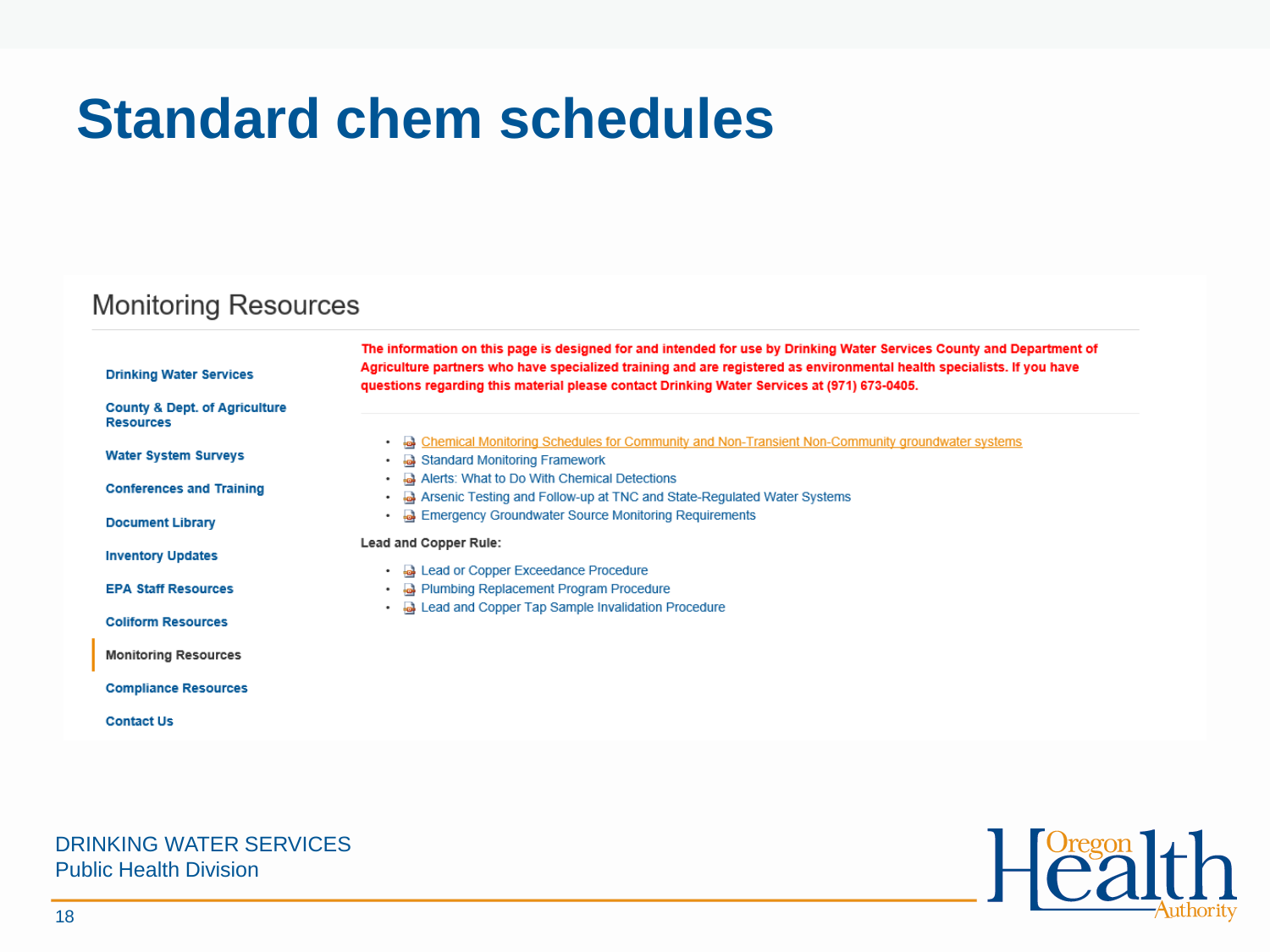## **Standard chem schedules**

### **Monitoring Resources**

| <b>Drinking Water Services</b>                               | The information on this page is designed for and intended for use by Drinking Water Services County and Department of<br>Agriculture partners who have specialized training and are registered as environmental health specialists. If you have<br>questions regarding this material please contact Drinking Water Services at (971) 673-0405. |
|--------------------------------------------------------------|------------------------------------------------------------------------------------------------------------------------------------------------------------------------------------------------------------------------------------------------------------------------------------------------------------------------------------------------|
| <b>County &amp; Dept. of Agriculture</b><br><b>Resources</b> |                                                                                                                                                                                                                                                                                                                                                |
| <b>Water System Surveys</b>                                  | • <b>a</b> Chemical Monitoring Schedules for Community and Non-Transient Non-Community groundwater systems<br>Standard Monitoring Framework<br>٠                                                                                                                                                                                               |
| <b>Conferences and Training</b>                              | Alerts: What to Do With Chemical Detections<br>٠<br>Arsenic Testing and Follow-up at TNC and State-Regulated Water Systems<br>٠                                                                                                                                                                                                                |
| <b>Document Library</b>                                      | <b>Emergency Groundwater Source Monitoring Requirements</b><br>۰                                                                                                                                                                                                                                                                               |
| <b>Inventory Updates</b>                                     | Lead and Copper Rule:<br>• <b>a</b> Lead or Copper Exceedance Procedure                                                                                                                                                                                                                                                                        |
| <b>EPA Staff Resources</b>                                   | <b>a</b> Plumbing Replacement Program Procedure<br>$\bullet$<br><b>A</b> Lead and Copper Tap Sample Invalidation Procedure<br>۰                                                                                                                                                                                                                |
| <b>Coliform Resources</b>                                    |                                                                                                                                                                                                                                                                                                                                                |
| <b>Monitoring Resources</b>                                  |                                                                                                                                                                                                                                                                                                                                                |
| <b>Compliance Resources</b>                                  |                                                                                                                                                                                                                                                                                                                                                |
| <b>Contact Us</b>                                            |                                                                                                                                                                                                                                                                                                                                                |
|                                                              |                                                                                                                                                                                                                                                                                                                                                |
|                                                              |                                                                                                                                                                                                                                                                                                                                                |

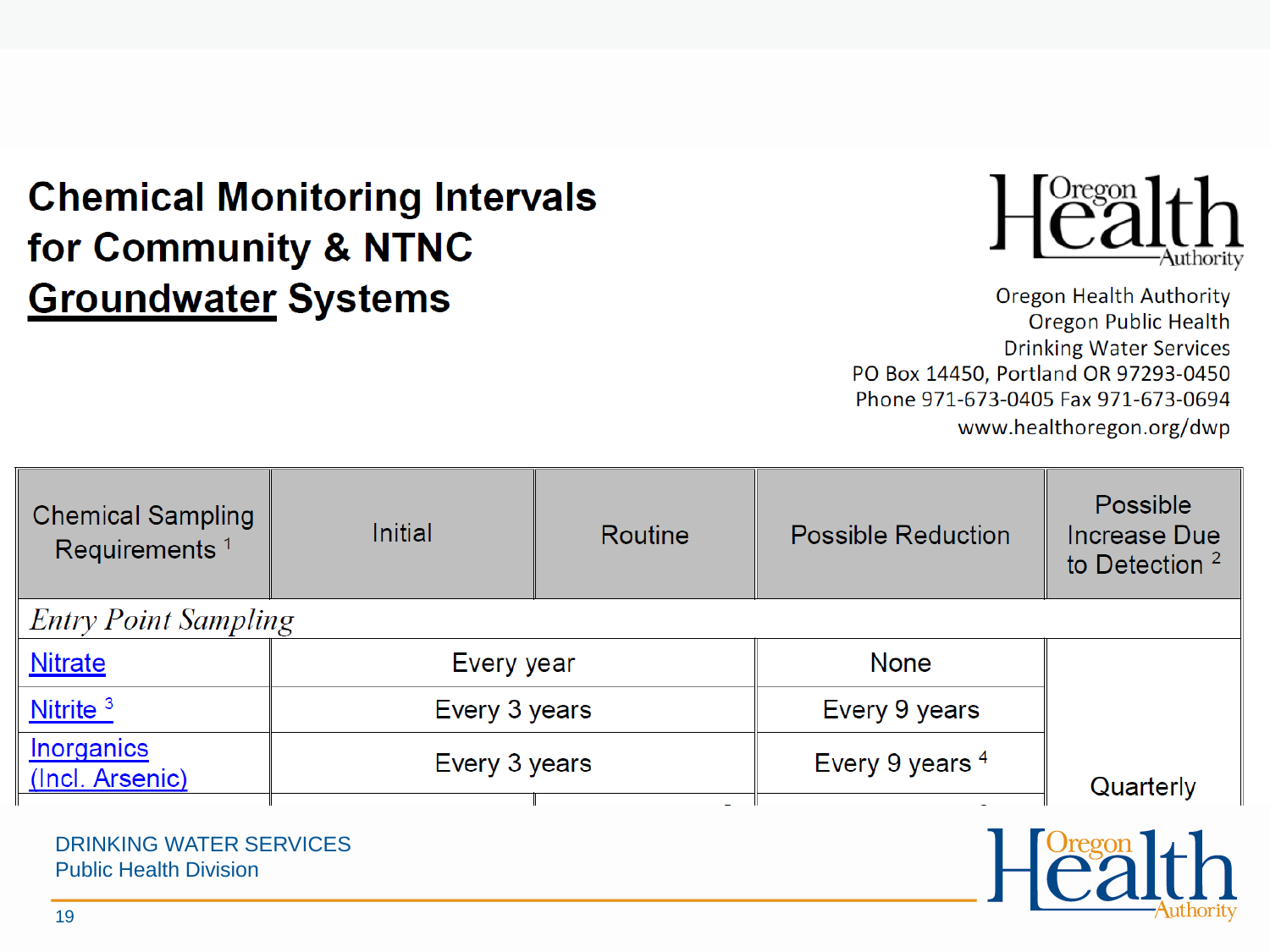### **Chemical Monitoring Intervals** for Community & NTNC **Groundwater Systems**



**Oregon Health Authority** Oregon Public Health **Drinking Water Services** PO Box 14450, Portland OR 97293-0450 Phone 971-673-0405 Fax 971-673-0694 www.healthoregon.org/dwp

| <b>Initial</b>              | Routine | <b>Possible Reduction</b>   | Possible<br><b>Increase Due</b><br>to Detection <sup>2</sup> |  |
|-----------------------------|---------|-----------------------------|--------------------------------------------------------------|--|
| <b>Entry Point Sampling</b> |         |                             |                                                              |  |
|                             |         | <b>None</b>                 |                                                              |  |
|                             |         | Every 9 years               |                                                              |  |
| Every 3 years               |         | Every 9 years 4             | Quarterly                                                    |  |
|                             |         | Every year<br>Every 3 years |                                                              |  |

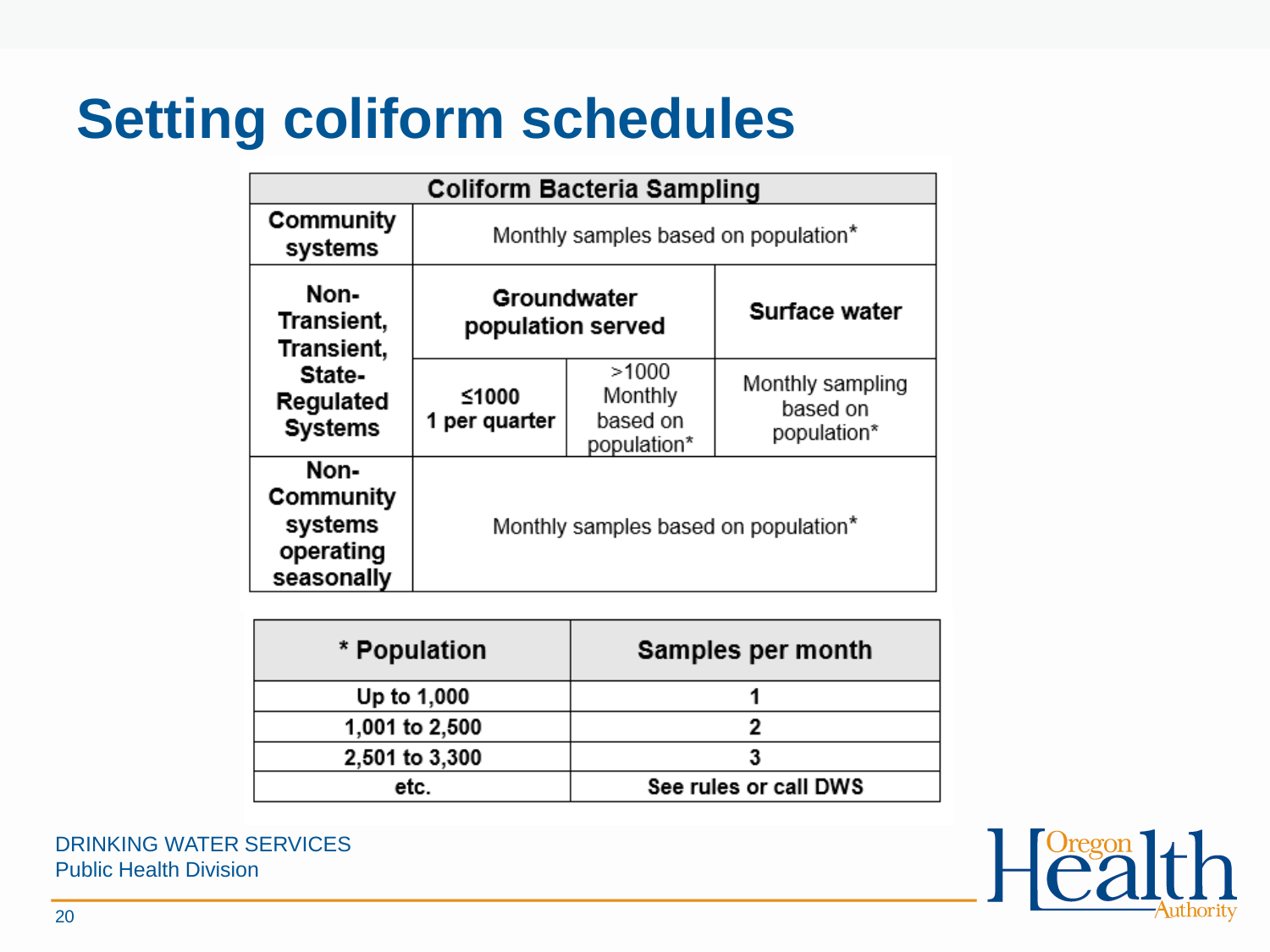## **Setting coliform schedules**

| <b>Coliform Bacteria Sampling</b>                       |                                      |                                             |                                             |  |  |
|---------------------------------------------------------|--------------------------------------|---------------------------------------------|---------------------------------------------|--|--|
| Community<br>systems                                    |                                      | Monthly samples based on population*        |                                             |  |  |
| Non-<br>Transient,<br>Transient,                        | Groundwater<br>population served     |                                             | Surface water                               |  |  |
| State-<br>Regulated<br><b>Systems</b>                   | ≤1000<br>1 per quarter               | >1000<br>Monthly<br>based on<br>population* | Monthly sampling<br>based on<br>population* |  |  |
| Non-<br>Community<br>systems<br>operating<br>seasonally | Monthly samples based on population* |                                             |                                             |  |  |

| * Population   | Samples per month     |
|----------------|-----------------------|
| Up to 1,000    |                       |
| 1,001 to 2,500 |                       |
| 2,501 to 3,300 |                       |
| etc.           | See rules or call DWS |

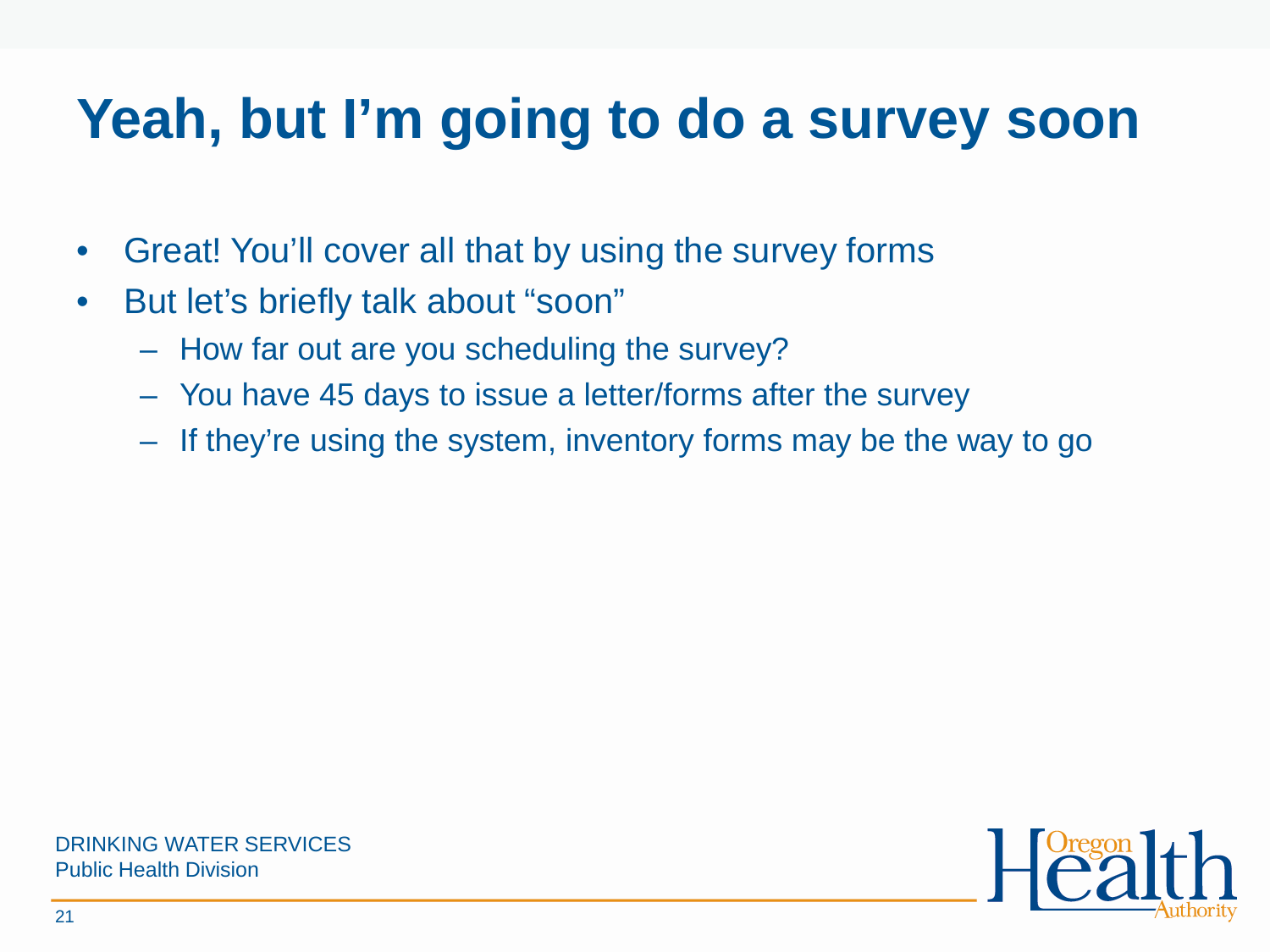# **Yeah, but I'm going to do a survey soon**

- Great! You'll cover all that by using the survey forms
- But let's briefly talk about "soon"
	- How far out are you scheduling the survey?
	- You have 45 days to issue a letter/forms after the survey
	- If they're using the system, inventory forms may be the way to go

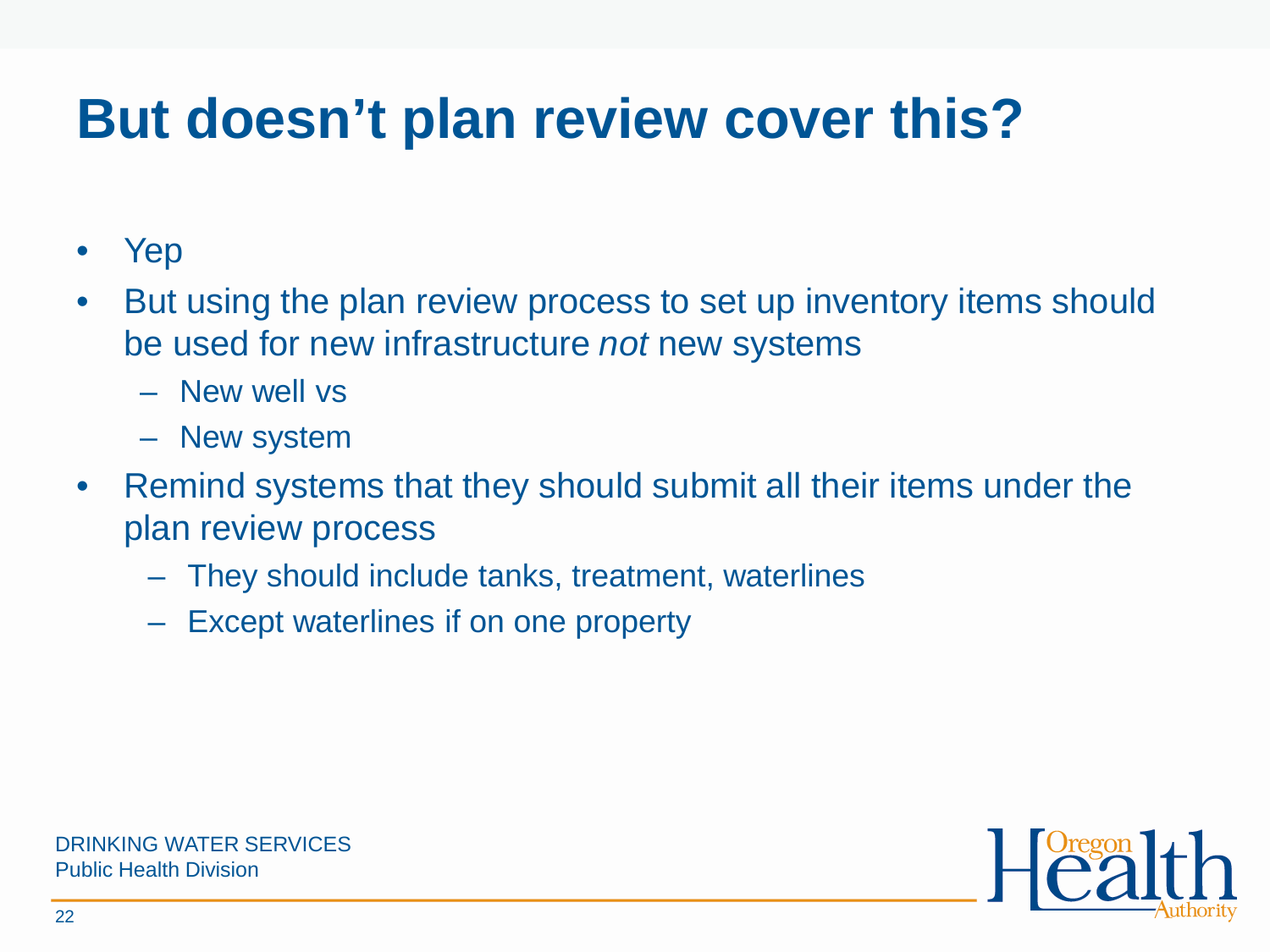# **But doesn't plan review cover this?**

- Yep
- But using the plan review process to set up inventory items should be used for new infrastructure *not* new systems
	- New well vs
	- New system
- Remind systems that they should submit all their items under the plan review process
	- They should include tanks, treatment, waterlines
	- Except waterlines if on one property

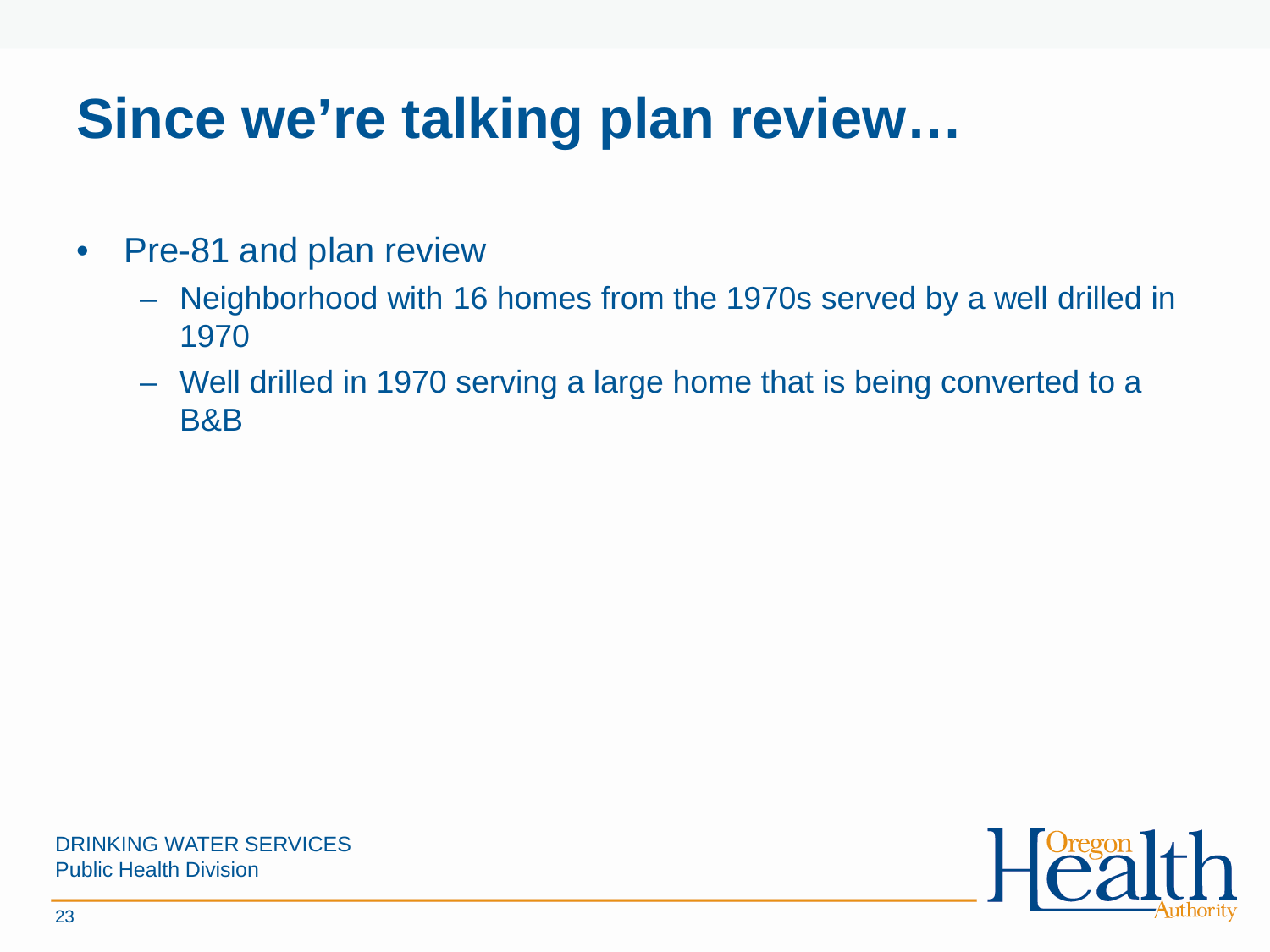## **Since we're talking plan review…**

- Pre-81 and plan review
	- Neighborhood with 16 homes from the 1970s served by a well drilled in 1970
	- Well drilled in 1970 serving a large home that is being converted to a B&B

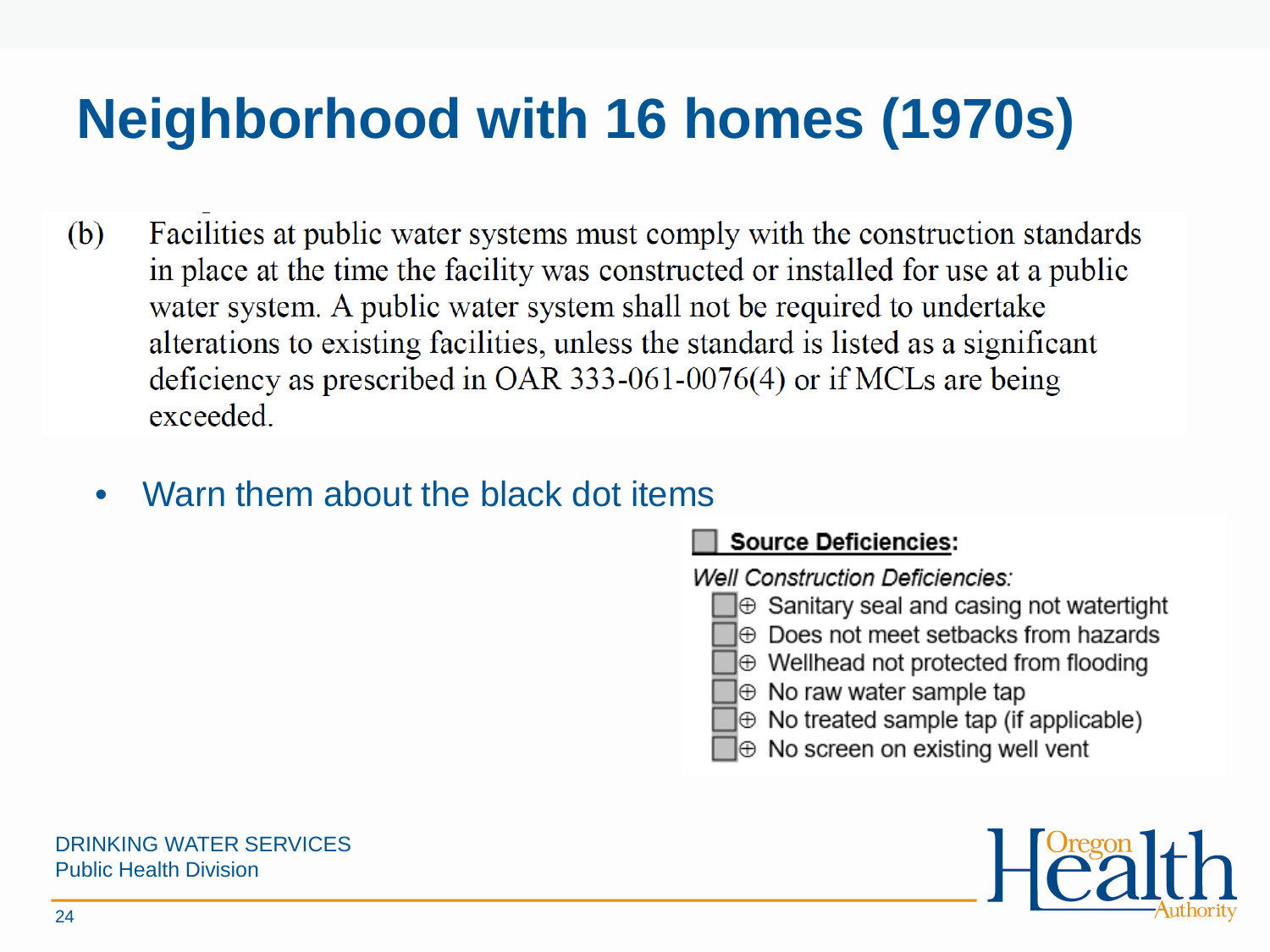# **Neighborhood with 16 homes (1970s)**

- Facilities at public water systems must comply with the construction standards (b) in place at the time the facility was constructed or installed for use at a public water system. A public water system shall not be required to undertake alterations to existing facilities, unless the standard is listed as a significant deficiency as prescribed in OAR 333-061-0076(4) or if MCLs are being exceeded.
	- Warn them about the black dot items

### **Source Deficiencies:**

**Well Construction Deficiencies:** 

- $\mathbf{\Theta}$  Sanitary seal and casing not watertight
- l⊕ Does not meet setbacks from hazards
- $\bigoplus$  Wellhead not protected from flooding
- ]⊕ No raw water sample tap
- $\mathbb \oplus$  No treated sample tap (if applicable)
- $\mathbb \oplus$  No screen on existing well vent

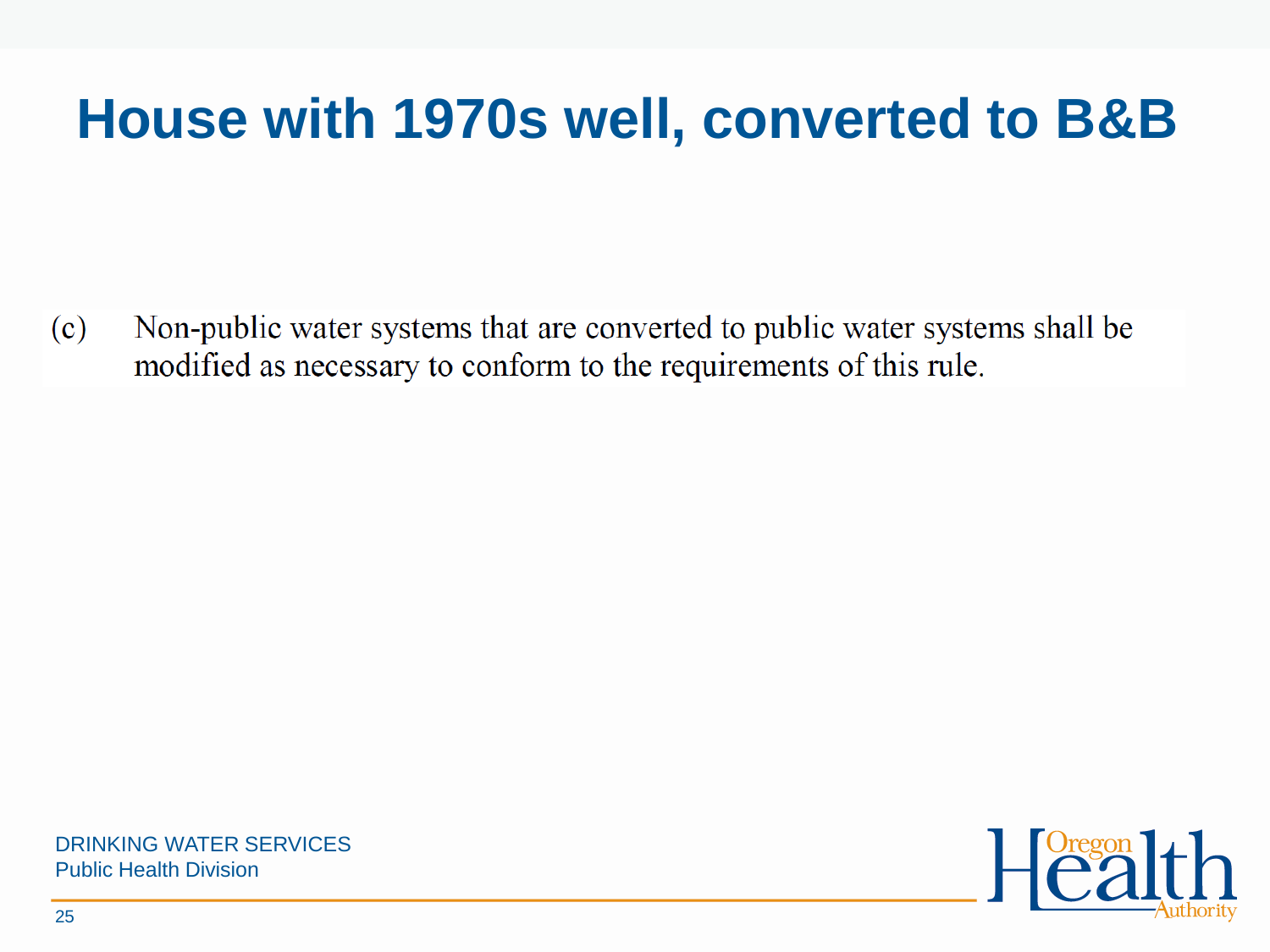## **House with 1970s well, converted to B&B**

Non-public water systems that are converted to public water systems shall be  $(c)$ modified as necessary to conform to the requirements of this rule.



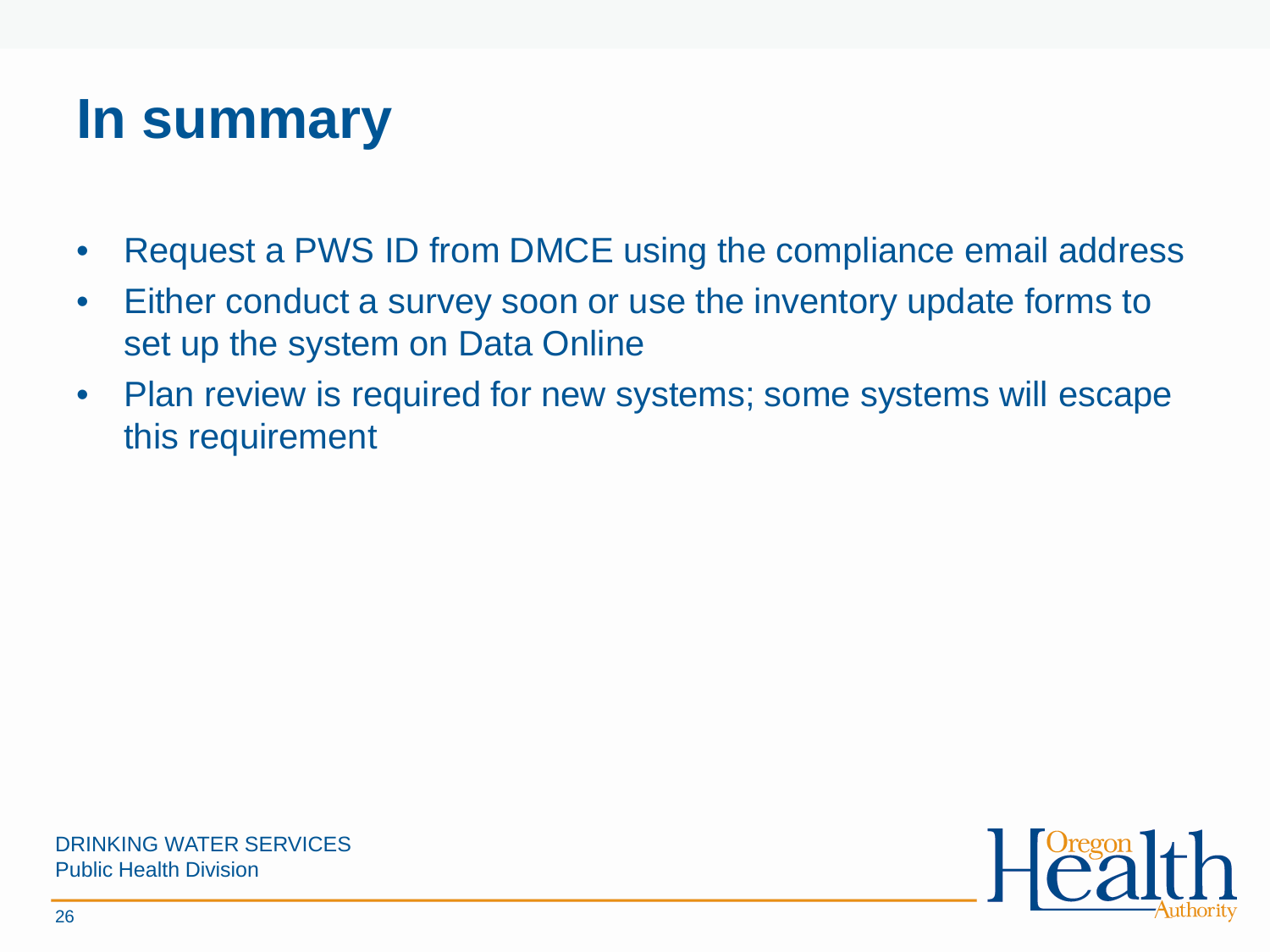## **In summary**

- Request a PWS ID from DMCE using the compliance email address
- Either conduct a survey soon or use the inventory update forms to set up the system on Data Online
- Plan review is required for new systems; some systems will escape this requirement